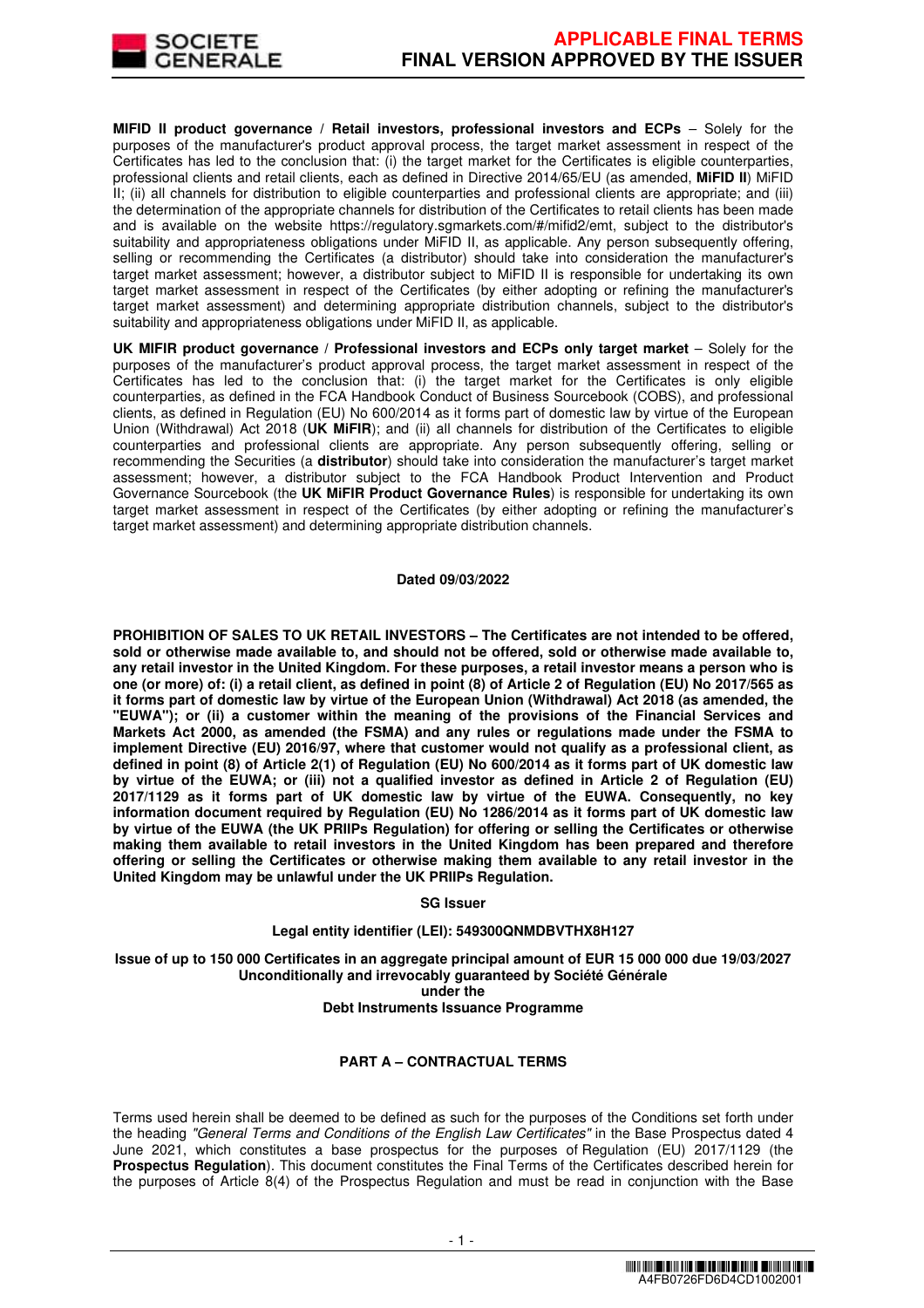

**MIFID II product governance / Retail investors, professional investors and ECPs - Solely for the** purposes of the manufacturer's product approval process, the target market assessment in respect of the Certificates has led to the conclusion that: (i) the target market for the Certificates is eligible counterparties, professional clients and retail clients, each as defined in Directive 2014/65/EU (as amended, **MiFID II**) MiFID II; (ii) all channels for distribution to eligible counterparties and professional clients are appropriate; and (iii) the determination of the appropriate channels for distribution of the Certificates to retail clients has been made and is available on the website https://regulatory.sgmarkets.com/#/mifid2/emt, subject to the distributor's suitability and appropriateness obligations under MiFID II, as applicable. Any person subsequently offering, selling or recommending the Certificates (a distributor) should take into consideration the manufacturer's target market assessment; however, a distributor subject to MiFID II is responsible for undertaking its own target market assessment in respect of the Certificates (by either adopting or refining the manufacturer's target market assessment) and determining appropriate distribution channels, subject to the distributor's suitability and appropriateness obligations under MiFID II, as applicable.

**UK MIFIR product governance / Professional investors and ECPs only target market** – Solely for the purposes of the manufacturer's product approval process, the target market assessment in respect of the Certificates has led to the conclusion that: (i) the target market for the Certificates is only eligible counterparties, as defined in the FCA Handbook Conduct of Business Sourcebook (COBS), and professional clients, as defined in Regulation (EU) No 600/2014 as it forms part of domestic law by virtue of the European Union (Withdrawal) Act 2018 (**UK MiFIR**); and (ii) all channels for distribution of the Certificates to eligible counterparties and professional clients are appropriate. Any person subsequently offering, selling or recommending the Securities (a **distributor**) should take into consideration the manufacturer's target market assessment; however, a distributor subject to the FCA Handbook Product Intervention and Product Governance Sourcebook (the **UK MiFIR Product Governance Rules**) is responsible for undertaking its own target market assessment in respect of the Certificates (by either adopting or refining the manufacturer's target market assessment) and determining appropriate distribution channels.

### **Dated 09/03/2022**

**PROHIBITION OF SALES TO UK RETAIL INVESTORS – The Certificates are not intended to be offered, sold or otherwise made available to, and should not be offered, sold or otherwise made available to, any retail investor in the United Kingdom. For these purposes, a retail investor means a person who is one (or more) of: (i) a retail client, as defined in point (8) of Article 2 of Regulation (EU) No 2017/565 as it forms part of domestic law by virtue of the European Union (Withdrawal) Act 2018 (as amended, the "EUWA"); or (ii) a customer within the meaning of the provisions of the Financial Services and Markets Act 2000, as amended (the FSMA) and any rules or regulations made under the FSMA to implement Directive (EU) 2016/97, where that customer would not qualify as a professional client, as defined in point (8) of Article 2(1) of Regulation (EU) No 600/2014 as it forms part of UK domestic law by virtue of the EUWA; or (iii) not a qualified investor as defined in Article 2 of Regulation (EU) 2017/1129 as it forms part of UK domestic law by virtue of the EUWA. Consequently, no key information document required by Regulation (EU) No 1286/2014 as it forms part of UK domestic law by virtue of the EUWA (the UK PRIIPs Regulation) for offering or selling the Certificates or otherwise making them available to retail investors in the United Kingdom has been prepared and therefore offering or selling the Certificates or otherwise making them available to any retail investor in the United Kingdom may be unlawful under the UK PRIIPs Regulation.**

### **SG Issuer**

### **Legal entity identifier (LEI): 549300QNMDBVTHX8H127**

**Issue of up to 150 000 Certificates in an aggregate principal amount of EUR 15 000 000 due 19/03/2027 Unconditionally and irrevocably guaranteed by Société Générale under the** 

### **Debt Instruments Issuance Programme**

# **PART A – CONTRACTUAL TERMS**

Terms used herein shall be deemed to be defined as such for the purposes of the Conditions set forth under the heading "General Terms and Conditions of the English Law Certificates" in the Base Prospectus dated 4 June 2021, which constitutes a base prospectus for the purposes of Regulation (EU) 2017/1129 (the **Prospectus Regulation**). This document constitutes the Final Terms of the Certificates described herein for the purposes of Article 8(4) of the Prospectus Regulation and must be read in conjunction with the Base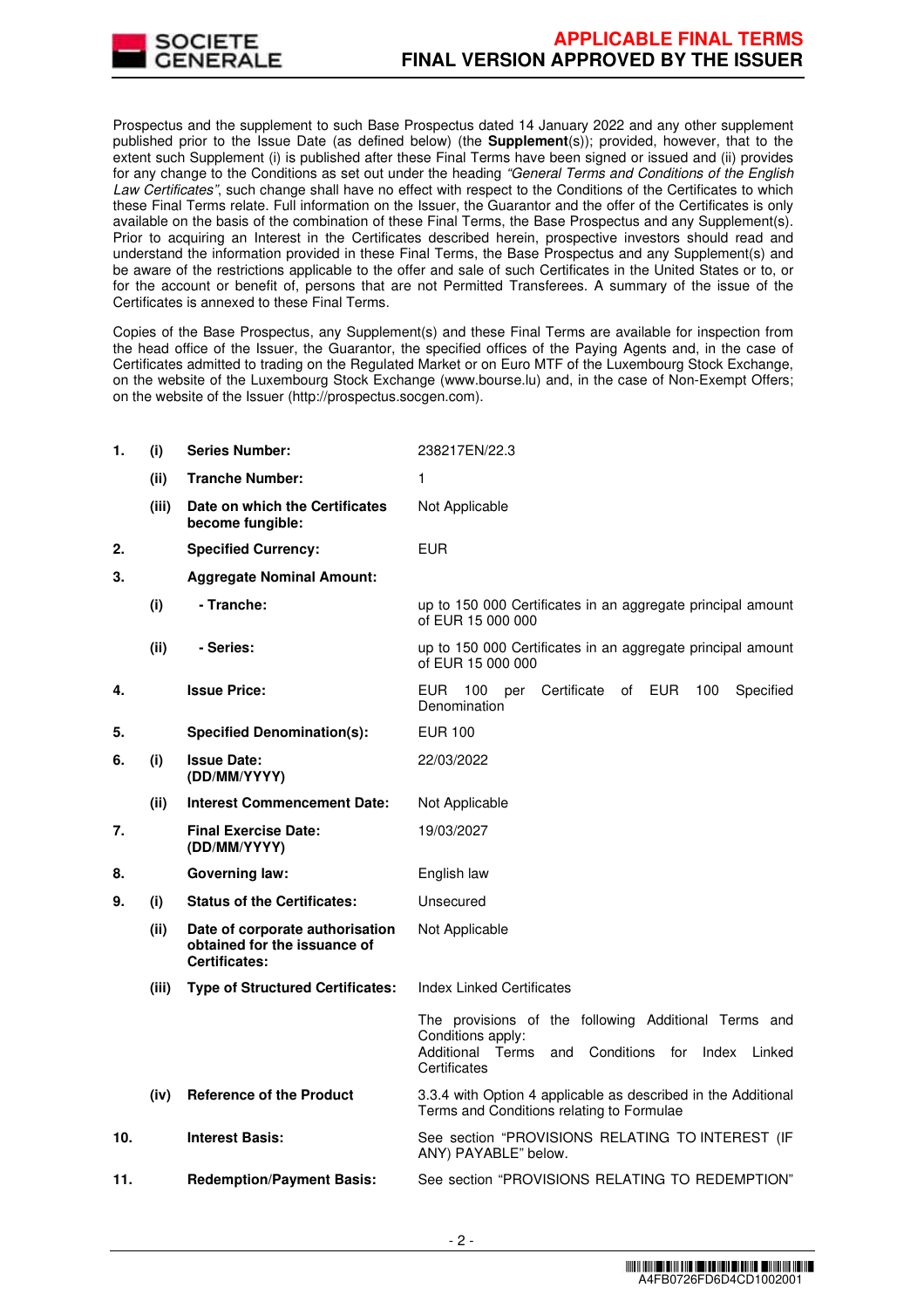

Prospectus and the supplement to such Base Prospectus dated 14 January 2022 and any other supplement published prior to the Issue Date (as defined below) (the **Supplement**(s)); provided, however, that to the extent such Supplement (i) is published after these Final Terms have been signed or issued and (ii) provides for any change to the Conditions as set out under the heading "General Terms and Conditions of the English Law Certificates", such change shall have no effect with respect to the Conditions of the Certificates to which these Final Terms relate. Full information on the Issuer, the Guarantor and the offer of the Certificates is only available on the basis of the combination of these Final Terms, the Base Prospectus and any Supplement(s). Prior to acquiring an Interest in the Certificates described herein, prospective investors should read and understand the information provided in these Final Terms, the Base Prospectus and any Supplement(s) and be aware of the restrictions applicable to the offer and sale of such Certificates in the United States or to, or for the account or benefit of, persons that are not Permitted Transferees. A summary of the issue of the Certificates is annexed to these Final Terms.

Copies of the Base Prospectus, any Supplement(s) and these Final Terms are available for inspection from the head office of the Issuer, the Guarantor, the specified offices of the Paying Agents and, in the case of Certificates admitted to trading on the Regulated Market or on Euro MTF of the Luxembourg Stock Exchange, on the website of the Luxembourg Stock Exchange (www.bourse.lu) and, in the case of Non-Exempt Offers; on the website of the Issuer (http://prospectus.socgen.com).

| 1.  | (i)   | <b>Series Number:</b>                                                                   | 238217EN/22.3                                                                                                                                                |
|-----|-------|-----------------------------------------------------------------------------------------|--------------------------------------------------------------------------------------------------------------------------------------------------------------|
|     | (ii)  | <b>Tranche Number:</b>                                                                  | 1                                                                                                                                                            |
|     | (iii) | Date on which the Certificates<br>become fungible:                                      | Not Applicable                                                                                                                                               |
| 2.  |       | <b>Specified Currency:</b>                                                              | <b>EUR</b>                                                                                                                                                   |
| 3.  |       | <b>Aggregate Nominal Amount:</b>                                                        |                                                                                                                                                              |
|     | (i)   | - Tranche:                                                                              | up to 150 000 Certificates in an aggregate principal amount<br>of EUR 15 000 000                                                                             |
|     | (ii)  | - Series:                                                                               | up to 150 000 Certificates in an aggregate principal amount<br>of EUR 15 000 000                                                                             |
| 4.  |       | <b>Issue Price:</b>                                                                     | Certificate<br>of EUR<br>100<br>Specified<br>EUR<br>100<br>per<br>Denomination                                                                               |
| 5.  |       | <b>Specified Denomination(s):</b>                                                       | <b>EUR 100</b>                                                                                                                                               |
| 6.  | (i)   | <b>Issue Date:</b><br>(DD/MM/YYYY)                                                      | 22/03/2022                                                                                                                                                   |
|     | (ii)  | <b>Interest Commencement Date:</b>                                                      | Not Applicable                                                                                                                                               |
| 7.  |       | <b>Final Exercise Date:</b><br>(DD/MM/YYYY)                                             | 19/03/2027                                                                                                                                                   |
| 8.  |       | Governing law:                                                                          | English law                                                                                                                                                  |
| 9.  | (i)   | <b>Status of the Certificates:</b>                                                      | Unsecured                                                                                                                                                    |
|     | (ii)  | Date of corporate authorisation<br>obtained for the issuance of<br><b>Certificates:</b> | Not Applicable                                                                                                                                               |
|     | (iii) | <b>Type of Structured Certificates:</b>                                                 | <b>Index Linked Certificates</b>                                                                                                                             |
|     |       |                                                                                         | The provisions of the following Additional Terms and<br>Conditions apply:<br>Additional Terms<br>Conditions<br>and<br>for<br>Index<br>Linked<br>Certificates |
|     | (iv)  | <b>Reference of the Product</b>                                                         | 3.3.4 with Option 4 applicable as described in the Additional<br>Terms and Conditions relating to Formulae                                                   |
| 10. |       | <b>Interest Basis:</b>                                                                  | See section "PROVISIONS RELATING TO INTEREST (IF<br>ANY) PAYABLE" below.                                                                                     |
| 11. |       | <b>Redemption/Payment Basis:</b>                                                        | See section "PROVISIONS RELATING TO REDEMPTION"                                                                                                              |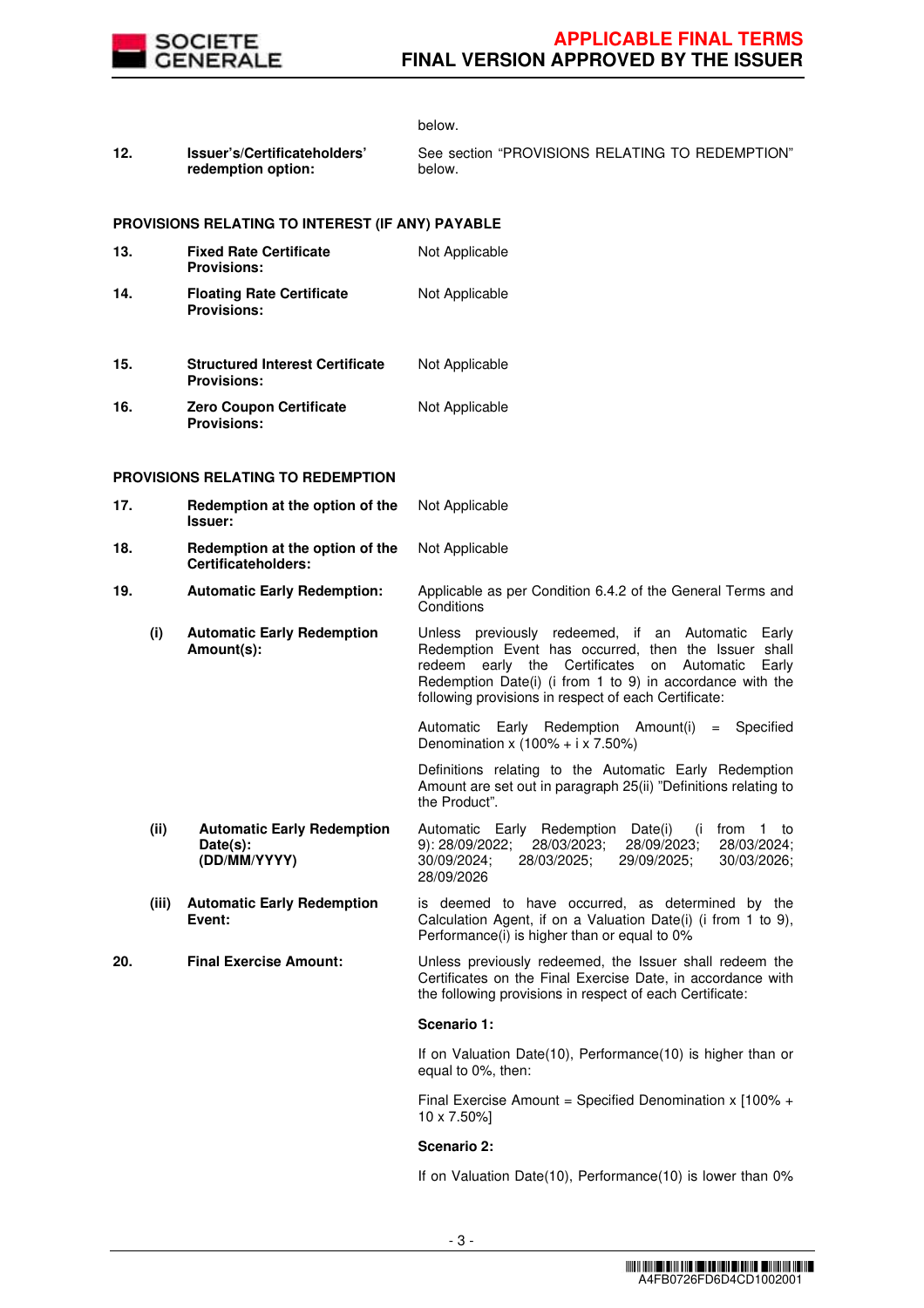

**12. Issuer's/Certificateholders'** 

See section "PROVISIONS RELATING TO REDEMPTION"

below.

|     | redemption option:                                           | below.         |
|-----|--------------------------------------------------------------|----------------|
|     | PROVISIONS RELATING TO INTEREST (IF ANY) PAYABLE             |                |
| 13. | <b>Fixed Rate Certificate</b><br><b>Provisions:</b>          | Not Applicable |
| 14. | <b>Floating Rate Certificate</b><br><b>Provisions:</b>       | Not Applicable |
| 15. | <b>Structured Interest Certificate</b><br><b>Provisions:</b> | Not Applicable |
| 16. | <b>Zero Coupon Certificate</b><br><b>Provisions:</b>         | Not Applicable |
|     | <b>BBAUGIAUG BELIEULA TA BEBELIBTIAU</b>                     |                |

# **PROVISIONS RELATING TO REDEMPTION**

| 17. |       | Redemption at the option of the<br><b>Issuer:</b>             | Not Applicable                                                                                                                                                                                                                                                                                    |
|-----|-------|---------------------------------------------------------------|---------------------------------------------------------------------------------------------------------------------------------------------------------------------------------------------------------------------------------------------------------------------------------------------------|
| 18. |       | Redemption at the option of the<br>Certificateholders:        | Not Applicable                                                                                                                                                                                                                                                                                    |
| 19. |       | <b>Automatic Early Redemption:</b>                            | Applicable as per Condition 6.4.2 of the General Terms and<br>Conditions                                                                                                                                                                                                                          |
|     | (i)   | <b>Automatic Early Redemption</b><br>Amount(s):               | Unless previously redeemed, if an Automatic<br>Earlv<br>Redemption Event has occurred, then the Issuer shall<br>redeem<br>early the Certificates<br>Automatic<br>on<br>Early<br>Redemption Date(i) (i from 1 to 9) in accordance with the<br>following provisions in respect of each Certificate: |
|     |       |                                                               | Automatic Early Redemption Amount(i) = Specified<br>Denomination x $(100\% + i \times 7.50\%)$                                                                                                                                                                                                    |
|     |       |                                                               | Definitions relating to the Automatic Early Redemption<br>Amount are set out in paragraph 25(ii) "Definitions relating to<br>the Product".                                                                                                                                                        |
|     | (ii)  | <b>Automatic Early Redemption</b><br>Date(s):<br>(DD/MM/YYYY) | Automatic<br>Early Redemption Date(i)<br>$(i -$<br>from 1 to<br>28/03/2023;<br>9): 28/09/2022;<br>28/09/2023;<br>28/03/2024;<br>30/09/2024:<br>28/03/2025;<br>29/09/2025;<br>30/03/2026;<br>28/09/2026                                                                                            |
|     | (iii) | <b>Automatic Early Redemption</b><br>Event:                   | is deemed to have occurred, as determined by the<br>Calculation Agent, if on a Valuation Date(i) (i from 1 to 9),<br>Performance(i) is higher than or equal to 0%                                                                                                                                 |
| 20. |       | <b>Final Exercise Amount:</b>                                 | Unless previously redeemed, the Issuer shall redeem the<br>Certificates on the Final Exercise Date, in accordance with<br>the following provisions in respect of each Certificate:                                                                                                                |
|     |       |                                                               | Scenario 1:                                                                                                                                                                                                                                                                                       |
|     |       |                                                               | If on Valuation Date(10), Performance(10) is higher than or<br>equal to 0%, then:                                                                                                                                                                                                                 |
|     |       |                                                               | Final Exercise Amount = Specified Denomination x $100\% +$<br>10 x 7.50%]                                                                                                                                                                                                                         |
|     |       |                                                               | Scenario 2:                                                                                                                                                                                                                                                                                       |

If on Valuation Date(10), Performance(10) is lower than 0%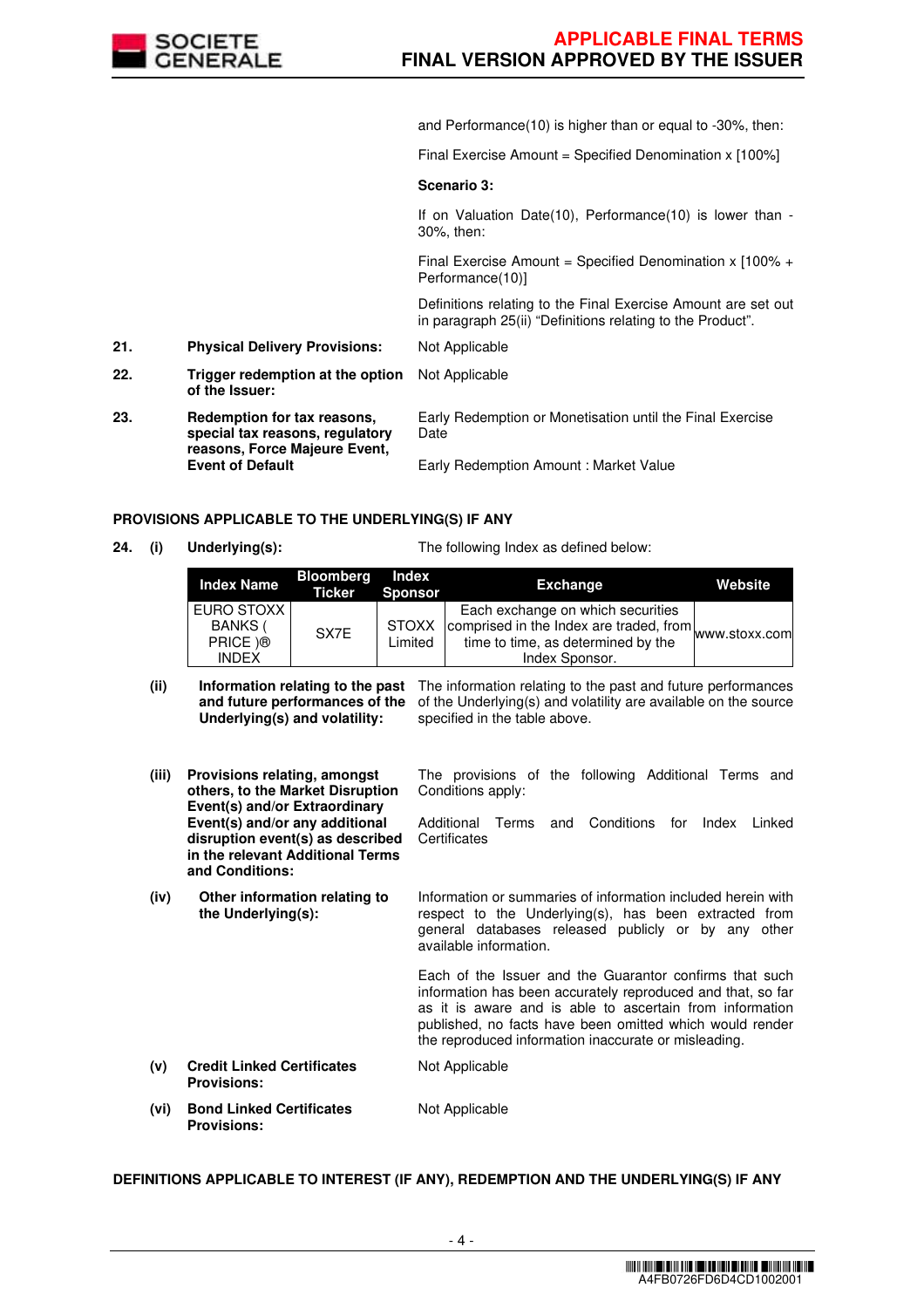

and Performance(10) is higher than or equal to -30%, then:

Final Exercise Amount = Specified Denomination  $x$  [100%]

#### **Scenario 3:**

If on Valuation Date(10), Performance(10) is lower than - 30%, then:

Final Exercise Amount = Specified Denomination x  $100\% +$ Performance(10)]

 Definitions relating to the Final Exercise Amount are set out in paragraph 25(ii) "Definitions relating to the Product".

- **21. Physical Delivery Provisions:** Not Applicable
- **22. Trigger redemption at the option of the Issuer:** Not Applicable
- **23. Redemption for tax reasons, special tax reasons, regulatory reasons, Force Majeure Event, Event of Default**

Early Redemption or Monetisation until the Final Exercise **Date** 

Early Redemption Amount : Market Value

### **PROVISIONS APPLICABLE TO THE UNDERLYING(S) IF ANY**

**Event(s) and/or any additional disruption event(s) as described in the relevant Additional Terms** 

**and Conditions:**

**24. (i) Underlying(s):** The following Index as defined below:

| <b>Index Name</b>                                                    | <b>Bloomberg</b><br>Ticker | Index<br>Sponsor        | <b>Exchange</b>                                                                                                                                      | Website |
|----------------------------------------------------------------------|----------------------------|-------------------------|------------------------------------------------------------------------------------------------------------------------------------------------------|---------|
| EURO STOXX<br><b>BANKS (</b><br>PRICE ) <sup>®</sup><br><b>INDEX</b> | SX7E                       | <b>STOXX</b><br>Limited | Each exchange on which securities<br>. comprised in the Index are traded, from www.stoxx.com<br>time to time, as determined by the<br>Index Sponsor. |         |

- (ii) **Information relating to the past** The information relating to the past and future performances **and future performances of the Underlying(s) and volatility:** of the Underlying(s) and volatility are available on the source specified in the table above.
- **(iii) Provisions relating, amongst others, to the Market Disruption Event(s) and/or Extraordinary**  The provisions of the following Additional Terms and Conditions apply:

Additional Terms and Conditions for Index Linked **Certificates** 

**(iv) Other information relating to the Underlying(s):** Information or summaries of information included herein with respect to the Underlying(s), has been extracted from general databases released publicly or by any other available information.

> Each of the Issuer and the Guarantor confirms that such information has been accurately reproduced and that, so far as it is aware and is able to ascertain from information published, no facts have been omitted which would render the reproduced information inaccurate or misleading.

- **(v) Credit Linked Certificates Provisions:** Not Applicable
- **(vi) Bond Linked Certificates Provisions:** Not Applicable

**DEFINITIONS APPLICABLE TO INTEREST (IF ANY), REDEMPTION AND THE UNDERLYING(S) IF ANY**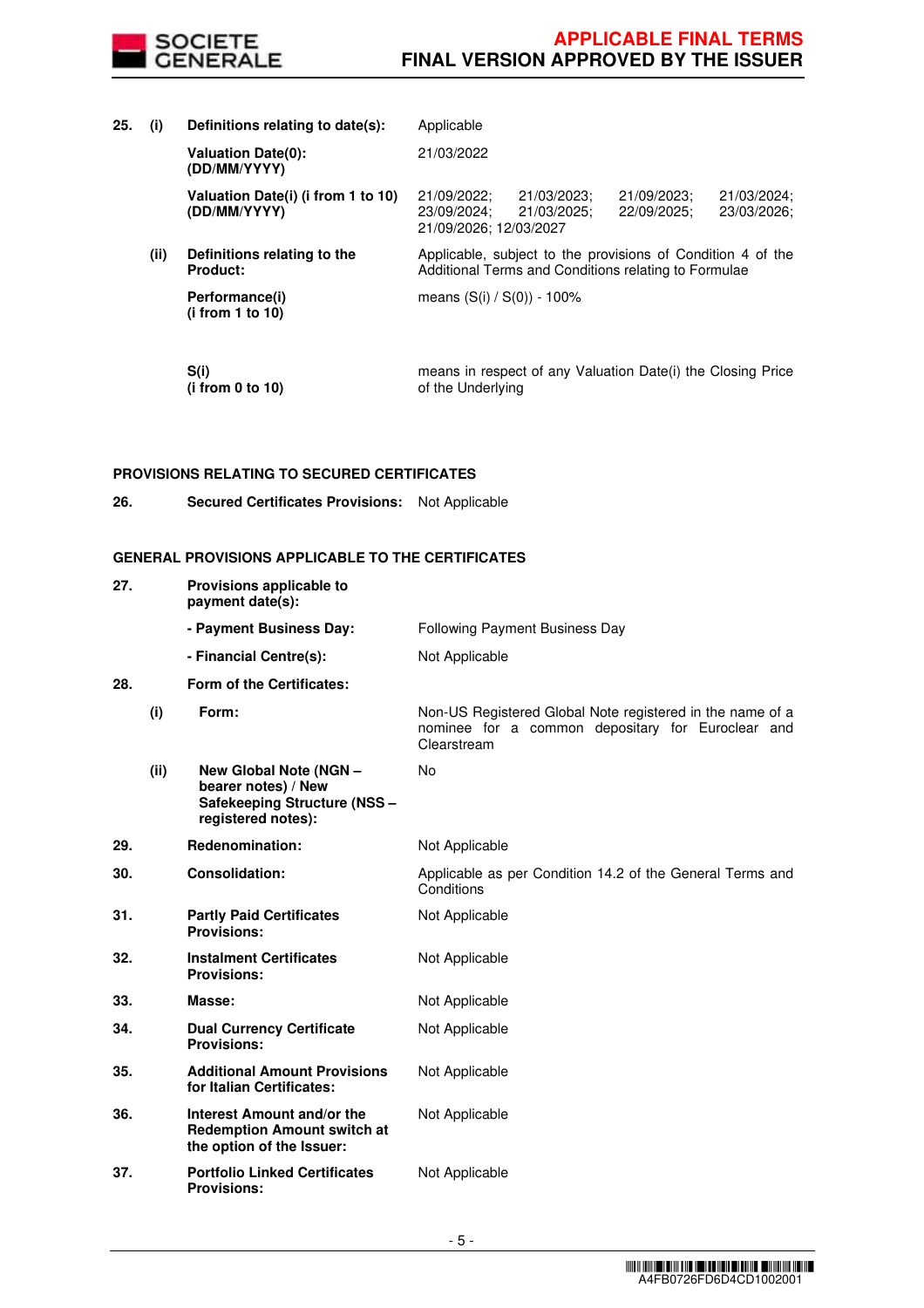

| 25. | (i)  | Definitions relating to date(s):                   | Applicable                                                                                                          |                                                             |                            |                            |
|-----|------|----------------------------------------------------|---------------------------------------------------------------------------------------------------------------------|-------------------------------------------------------------|----------------------------|----------------------------|
|     |      | <b>Valuation Date(0):</b><br>(DD/MM/YYYY)          | 21/03/2022                                                                                                          |                                                             |                            |                            |
|     |      | Valuation Date(i) (i from 1 to 10)<br>(DD/MM/YYYY) | 21/09/2022:<br>23/09/2024:<br>21/09/2026; 12/03/2027                                                                | 21/03/2023:<br>21/03/2025:                                  | 21/09/2023:<br>22/09/2025: | 21/03/2024:<br>23/03/2026; |
|     | (ii) | Definitions relating to the<br><b>Product:</b>     | Applicable, subject to the provisions of Condition 4 of the<br>Additional Terms and Conditions relating to Formulae |                                                             |                            |                            |
|     |      | Performance(i)<br>(i from 1 to 10)                 | means $(S(i) / S(0)) - 100\%$                                                                                       |                                                             |                            |                            |
|     |      | S(i)<br>(i from 0 to 10)                           | of the Underlying                                                                                                   | means in respect of any Valuation Date(i) the Closing Price |                            |                            |

# **PROVISIONS RELATING TO SECURED CERTIFICATES**

**26. Secured Certificates Provisions:** Not Applicable

# **GENERAL PROVISIONS APPLICABLE TO THE CERTIFICATES**

| 27. |      | Provisions applicable to<br>payment date(s):                                                        |                                                                                                                               |
|-----|------|-----------------------------------------------------------------------------------------------------|-------------------------------------------------------------------------------------------------------------------------------|
|     |      | - Payment Business Day:                                                                             | Following Payment Business Day                                                                                                |
|     |      | - Financial Centre(s):                                                                              | Not Applicable                                                                                                                |
| 28. |      | Form of the Certificates:                                                                           |                                                                                                                               |
|     | (i)  | Form:                                                                                               | Non-US Registered Global Note registered in the name of a<br>nominee for a common depositary for Euroclear and<br>Clearstream |
|     | (ii) | New Global Note (NGN -<br>bearer notes) / New<br>Safekeeping Structure (NSS -<br>registered notes): | No                                                                                                                            |
| 29. |      | Redenomination:                                                                                     | Not Applicable                                                                                                                |
| 30. |      | <b>Consolidation:</b>                                                                               | Applicable as per Condition 14.2 of the General Terms and<br>Conditions                                                       |
| 31. |      | <b>Partly Paid Certificates</b><br><b>Provisions:</b>                                               | Not Applicable                                                                                                                |
| 32. |      | <b>Instalment Certificates</b><br><b>Provisions:</b>                                                | Not Applicable                                                                                                                |
| 33. |      | Masse:                                                                                              | Not Applicable                                                                                                                |
| 34. |      | <b>Dual Currency Certificate</b><br>Provisions:                                                     | Not Applicable                                                                                                                |
| 35. |      | <b>Additional Amount Provisions</b><br>for Italian Certificates:                                    | Not Applicable                                                                                                                |
| 36. |      | Interest Amount and/or the<br><b>Redemption Amount switch at</b><br>the option of the Issuer:       | Not Applicable                                                                                                                |
| 37. |      | <b>Portfolio Linked Certificates</b><br><b>Provisions:</b>                                          | Not Applicable                                                                                                                |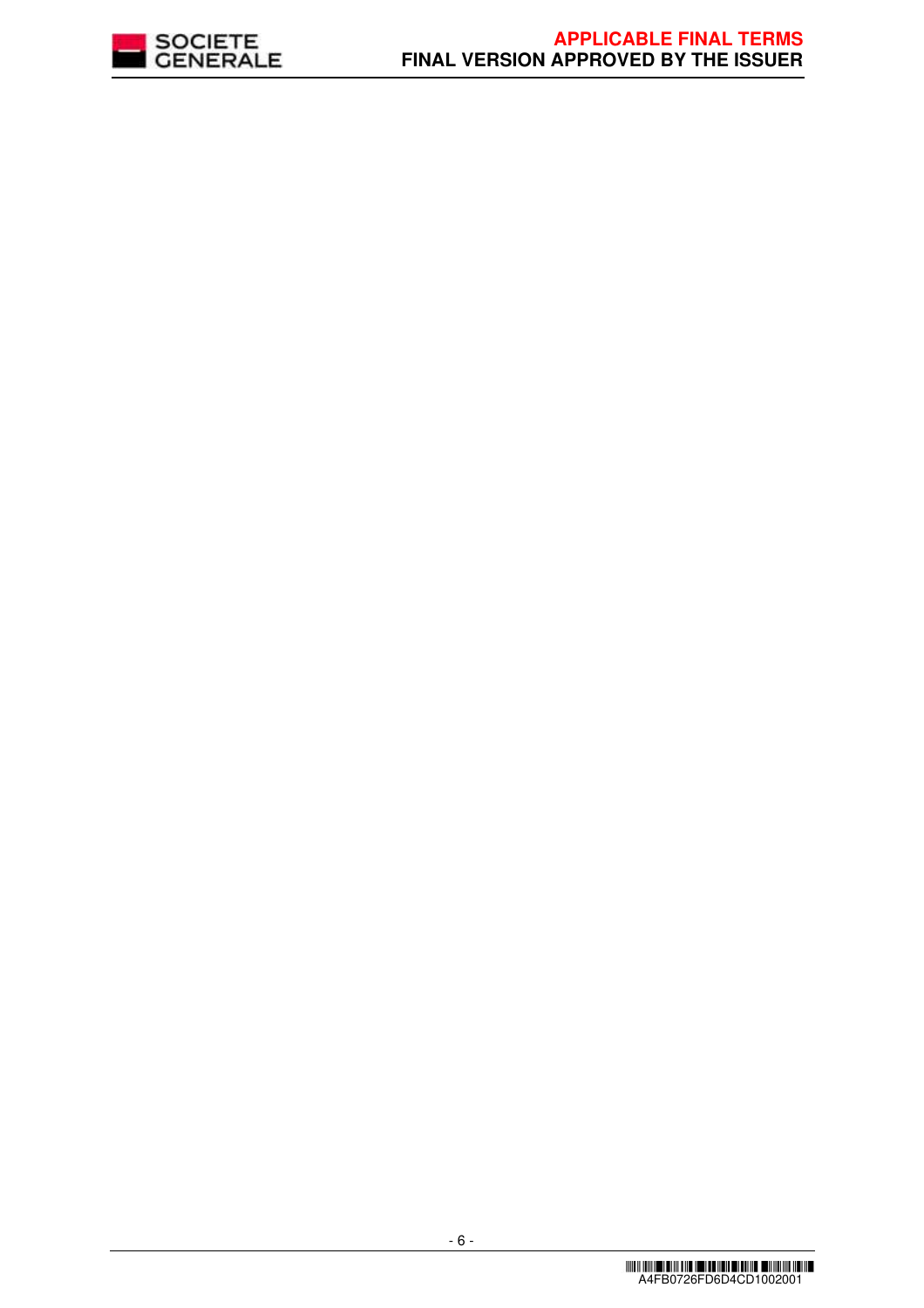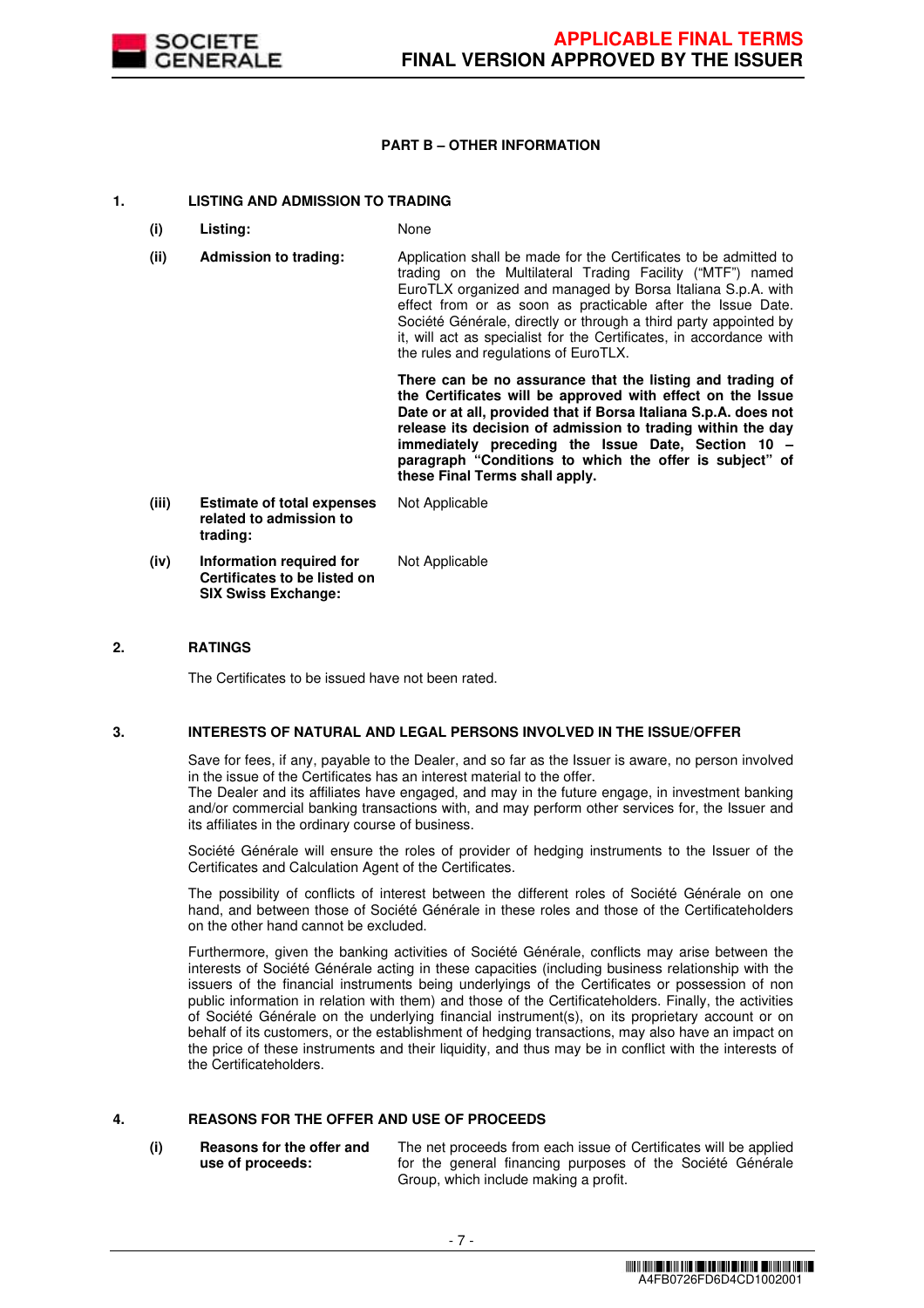

# **PART B – OTHER INFORMATION**

### **1. LISTING AND ADMISSION TO TRADING**

- **(i) Listing:** None
- **(ii) Admission to trading:** Application shall be made for the Certificates to be admitted to trading on the Multilateral Trading Facility ("MTF") named EuroTLX organized and managed by Borsa Italiana S.p.A. with effect from or as soon as practicable after the Issue Date. Société Générale, directly or through a third party appointed by it, will act as specialist for the Certificates, in accordance with the rules and regulations of EuroTLX.

 **There can be no assurance that the listing and trading of the Certificates will be approved with effect on the Issue Date or at all, provided that if Borsa Italiana S.p.A. does not release its decision of admission to trading within the day immediately preceding the Issue Date, Section 10 – paragraph "Conditions to which the offer is subject" of these Final Terms shall apply.**

**(iii) Estimate of total expenses related to admission to trading:** Not Applicable **(iv) Information required for Certificates to be listed on**  Not Applicable

**SIX Swiss Exchange:**

# **2. RATINGS**

The Certificates to be issued have not been rated.

### **3. INTERESTS OF NATURAL AND LEGAL PERSONS INVOLVED IN THE ISSUE/OFFER**

 Save for fees, if any, payable to the Dealer, and so far as the Issuer is aware, no person involved in the issue of the Certificates has an interest material to the offer.

The Dealer and its affiliates have engaged, and may in the future engage, in investment banking and/or commercial banking transactions with, and may perform other services for, the Issuer and its affiliates in the ordinary course of business.

 Société Générale will ensure the roles of provider of hedging instruments to the Issuer of the Certificates and Calculation Agent of the Certificates.

 The possibility of conflicts of interest between the different roles of Société Générale on one hand, and between those of Société Générale in these roles and those of the Certificateholders on the other hand cannot be excluded.

 Furthermore, given the banking activities of Société Générale, conflicts may arise between the interests of Société Générale acting in these capacities (including business relationship with the issuers of the financial instruments being underlyings of the Certificates or possession of non public information in relation with them) and those of the Certificateholders. Finally, the activities of Société Générale on the underlying financial instrument(s), on its proprietary account or on behalf of its customers, or the establishment of hedging transactions, may also have an impact on the price of these instruments and their liquidity, and thus may be in conflict with the interests of the Certificateholders.

# **4. REASONS FOR THE OFFER AND USE OF PROCEEDS**

**(i) Reasons for the offer and use of proceeds:**

The net proceeds from each issue of Certificates will be applied for the general financing purposes of the Société Générale Group, which include making a profit.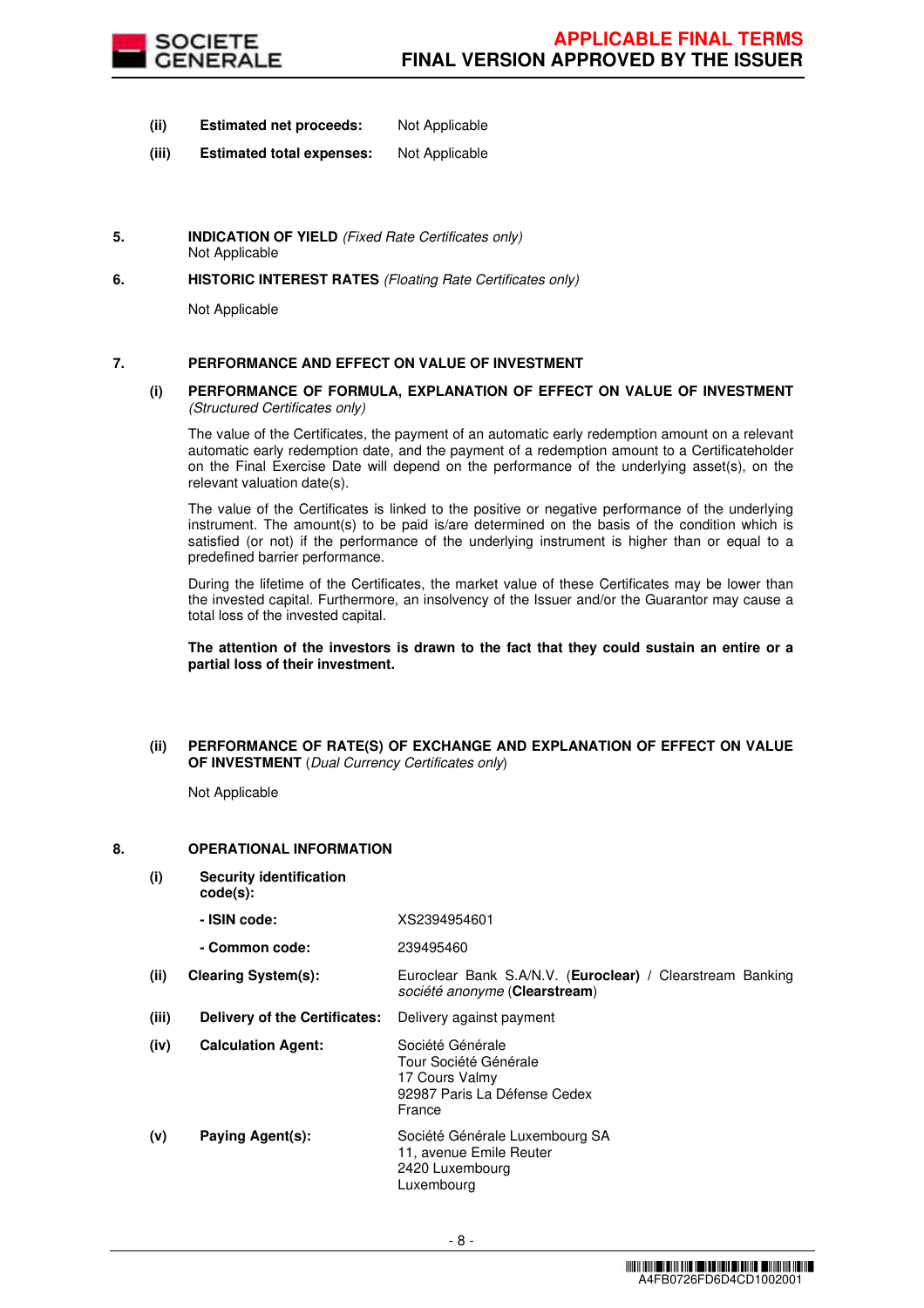

- **(ii) Estimated net proceeds:** Not Applicable
- **(iii) Estimated total expenses:** Not Applicable
- **5. INDICATION OF YIELD** (Fixed Rate Certificates only) Not Applicable
- **6. HISTORIC INTEREST RATES** (Floating Rate Certificates only)

Not Applicable

### **7. PERFORMANCE AND EFFECT ON VALUE OF INVESTMENT**

### **(i) PERFORMANCE OF FORMULA, EXPLANATION OF EFFECT ON VALUE OF INVESTMENT**  (Structured Certificates only)

 The value of the Certificates, the payment of an automatic early redemption amount on a relevant automatic early redemption date, and the payment of a redemption amount to a Certificateholder on the Final Exercise Date will depend on the performance of the underlying asset(s), on the relevant valuation date(s).

 The value of the Certificates is linked to the positive or negative performance of the underlying instrument. The amount(s) to be paid is/are determined on the basis of the condition which is satisfied (or not) if the performance of the underlying instrument is higher than or equal to a predefined barrier performance.

 During the lifetime of the Certificates, the market value of these Certificates may be lower than the invested capital. Furthermore, an insolvency of the Issuer and/or the Guarantor may cause a total loss of the invested capital.

**The attention of the investors is drawn to the fact that they could sustain an entire or a partial loss of their investment.**

### **(ii) PERFORMANCE OF RATE(S) OF EXCHANGE AND EXPLANATION OF EFFECT ON VALUE OF INVESTMENT** (Dual Currency Certificates only)

Not Applicable

### **8. OPERATIONAL INFORMATION**

- **(i) Security identification** 
	- **code(s): - ISIN code:** XS2394954601

| - Common code:                | 239495460                                                                                             |
|-------------------------------|-------------------------------------------------------------------------------------------------------|
| <b>Clearing System(s):</b>    | Euroclear Bank S.A/N.V. (Euroclear) / Clearstream Banking<br>société anonyme (Clearstream)            |
| Delivery of the Certificates: | Delivery against payment                                                                              |
| <b>Calculation Agent:</b>     | Société Générale<br>Tour Société Générale<br>17 Cours Valmy<br>92987 Paris La Défense Cedex<br>France |
| Paying Agent(s):              | Société Générale Luxembourg SA<br>11, avenue Emile Reuter<br>2420 Luxembourg<br>Luxembourg            |
|                               |                                                                                                       |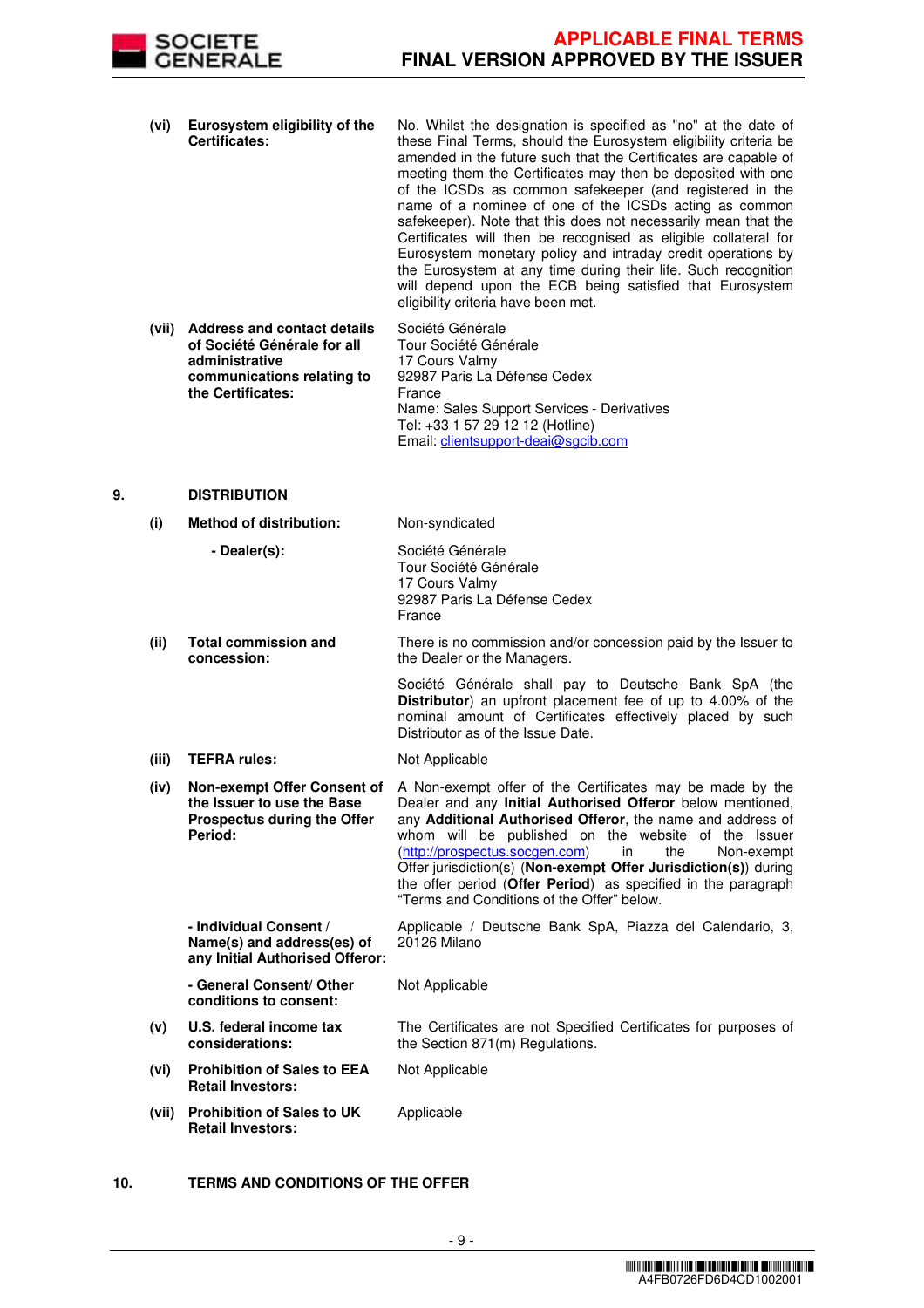

- **(vi) Eurosystem eligibility of the Certificates:** No. Whilst the designation is specified as "no" at the date of these Final Terms, should the Eurosystem eligibility criteria be amended in the future such that the Certificates are capable of meeting them the Certificates may then be deposited with one of the ICSDs as common safekeeper (and registered in the name of a nominee of one of the ICSDs acting as common safekeeper). Note that this does not necessarily mean that the Certificates will then be recognised as eligible collateral for Eurosystem monetary policy and intraday credit operations by the Eurosystem at any time during their life. Such recognition will depend upon the ECB being satisfied that Eurosystem eligibility criteria have been met.
- **(vii) Address and contact details of Société Générale for all administrative communications relating to the Certificates:** Société Générale Tour Société Générale 17 Cours Valmy 92987 Paris La Défense Cedex France Name: Sales Support Services - Derivatives Tel: +33 1 57 29 12 12 (Hotline) Email: clientsupport-deai@sgcib.com

### **9. DISTRIBUTION**

| (i)   | <b>Method of distribution:</b>                                                                      | Non-syndicated                                                                                                                                                                                                                                                                                                                                                                                                                                                                              |
|-------|-----------------------------------------------------------------------------------------------------|---------------------------------------------------------------------------------------------------------------------------------------------------------------------------------------------------------------------------------------------------------------------------------------------------------------------------------------------------------------------------------------------------------------------------------------------------------------------------------------------|
|       | - Dealer(s):                                                                                        | Société Générale<br>Tour Société Générale<br>17 Cours Valmy<br>92987 Paris La Défense Cedex<br>France                                                                                                                                                                                                                                                                                                                                                                                       |
| (ii)  | <b>Total commission and</b><br>concession:                                                          | There is no commission and/or concession paid by the Issuer to<br>the Dealer or the Managers.                                                                                                                                                                                                                                                                                                                                                                                               |
|       |                                                                                                     | Société Générale shall pay to Deutsche Bank SpA (the<br>Distributor) an upfront placement fee of up to 4.00% of the<br>nominal amount of Certificates effectively placed by such<br>Distributor as of the Issue Date.                                                                                                                                                                                                                                                                       |
| (iii) | <b>TEFRA rules:</b>                                                                                 | Not Applicable                                                                                                                                                                                                                                                                                                                                                                                                                                                                              |
| (iv)  | Non-exempt Offer Consent of<br>the Issuer to use the Base<br>Prospectus during the Offer<br>Period: | A Non-exempt offer of the Certificates may be made by the<br>Dealer and any Initial Authorised Offeror below mentioned,<br>any Additional Authorised Offeror, the name and address of<br>whom will be published on the website of the Issuer<br>(http://prospectus.socgen.com)<br>the<br>in<br>Non-exempt<br>Offer jurisdiction(s) (Non-exempt Offer Jurisdiction(s)) during<br>the offer period (Offer Period) as specified in the paragraph<br>"Terms and Conditions of the Offer" below. |
|       | - Individual Consent /<br>Name(s) and address(es) of<br>any Initial Authorised Offeror:             | Applicable / Deutsche Bank SpA, Piazza del Calendario, 3,<br>20126 Milano                                                                                                                                                                                                                                                                                                                                                                                                                   |
|       | - General Consent/ Other<br>conditions to consent:                                                  | Not Applicable                                                                                                                                                                                                                                                                                                                                                                                                                                                                              |
| (v)   | U.S. federal income tax<br>considerations:                                                          | The Certificates are not Specified Certificates for purposes of<br>the Section 871(m) Regulations.                                                                                                                                                                                                                                                                                                                                                                                          |
| (vi)  | <b>Prohibition of Sales to EEA</b><br><b>Retail Investors:</b>                                      | Not Applicable                                                                                                                                                                                                                                                                                                                                                                                                                                                                              |
| (vii) | <b>Prohibition of Sales to UK</b><br><b>Retail Investors:</b>                                       | Applicable                                                                                                                                                                                                                                                                                                                                                                                                                                                                                  |

# **10. TERMS AND CONDITIONS OF THE OFFER**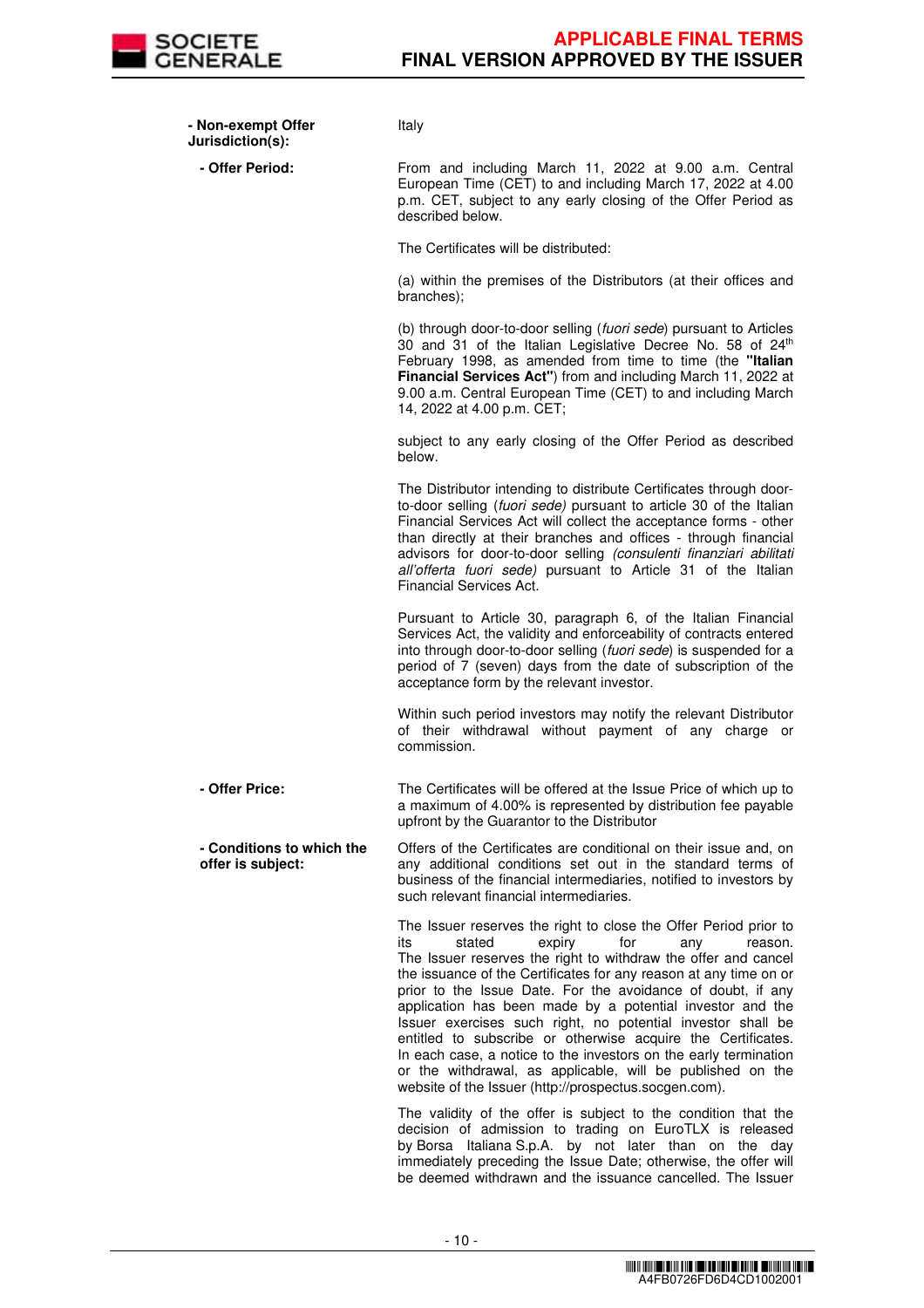

 **- Non-exempt Offer Jurisdiction(s):**

Italy

 **- Offer Period:** From and including March 11, 2022 at 9.00 a.m. Central European Time (CET) to and including March 17, 2022 at 4.00 p.m. CET, subject to any early closing of the Offer Period as described below.

The Certificates will be distributed:

(a) within the premises of the Distributors (at their offices and branches);

(b) through door-to-door selling (fuori sede) pursuant to Articles 30 and 31 of the Italian Legislative Decree No. 58 of  $24<sup>th</sup>$ February 1998, as amended from time to time (the **"Italian Financial Services Act"**) from and including March 11, 2022 at 9.00 a.m. Central European Time (CET) to and including March 14, 2022 at 4.00 p.m. CET;

subject to any early closing of the Offer Period as described below.

The Distributor intending to distribute Certificates through doorto-door selling (fuori sede) pursuant to article 30 of the Italian Financial Services Act will collect the acceptance forms - other than directly at their branches and offices - through financial advisors for door-to-door selling (consulenti finanziari abilitati all'offerta fuori sede) pursuant to Article 31 of the Italian Financial Services Act.

Pursuant to Article 30, paragraph 6, of the Italian Financial Services Act, the validity and enforceability of contracts entered into through door-to-door selling (fuori sede) is suspended for a period of 7 (seven) days from the date of subscription of the acceptance form by the relevant investor.

Within such period investors may notify the relevant Distributor of their withdrawal without payment of any charge or commission.

 **- Offer Price:** The Certificates will be offered at the Issue Price of which up to a maximum of 4.00% is represented by distribution fee payable upfront by the Guarantor to the Distributor

 **- Conditions to which the offer is subject:** Offers of the Certificates are conditional on their issue and, on any additional conditions set out in the standard terms of business of the financial intermediaries, notified to investors by such relevant financial intermediaries.

> The Issuer reserves the right to close the Offer Period prior to<br>its stated expiry for any reason. its stated expiry for any reason. The Issuer reserves the right to withdraw the offer and cancel the issuance of the Certificates for any reason at any time on or prior to the Issue Date. For the avoidance of doubt, if any application has been made by a potential investor and the Issuer exercises such right, no potential investor shall be entitled to subscribe or otherwise acquire the Certificates. In each case, a notice to the investors on the early termination or the withdrawal, as applicable, will be published on the website of the Issuer (http://prospectus.socgen.com).

> The validity of the offer is subject to the condition that the decision of admission to trading on EuroTLX is released by Borsa Italiana S.p.A. by not later than on the day immediately preceding the Issue Date; otherwise, the offer will be deemed withdrawn and the issuance cancelled. The Issuer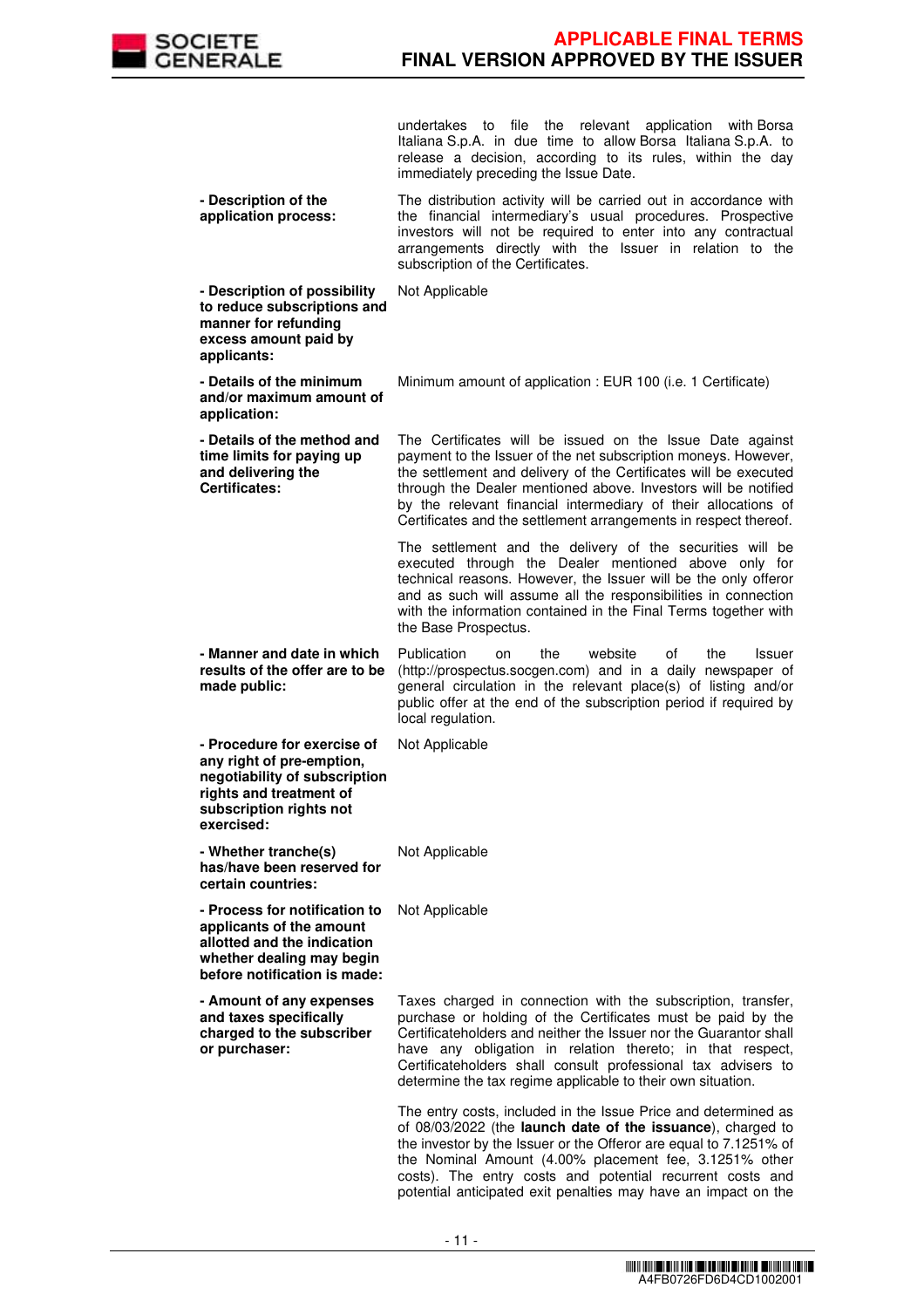

undertakes to file the relevant application with Borsa Italiana S.p.A. in due time to allow Borsa Italiana S.p.A. to release a decision, according to its rules, within the day immediately preceding the Issue Date.

Minimum amount of application : EUR 100 (i.e. 1 Certificate)

The Certificates will be issued on the Issue Date against payment to the Issuer of the net subscription moneys. However, the settlement and delivery of the Certificates will be executed through the Dealer mentioned above. Investors will be notified by the relevant financial intermediary of their allocations of Certificates and the settlement arrangements in respect thereof. The settlement and the delivery of the securities will be executed through the Dealer mentioned above only for technical reasons. However, the Issuer will be the only offeror and as such will assume all the responsibilities in connection

 **- Description of the application process:** The distribution activity will be carried out in accordance with the financial intermediary's usual procedures. Prospective investors will not be required to enter into any contractual arrangements directly with the Issuer in relation to the subscription of the Certificates.

Not Applicable

 **- Description of possibility to reduce subscriptions and manner for refunding excess amount paid by applicants:**

 **- Details of the minimum and/or maximum amount of application:**

 **- Details of the method and time limits for paying up and delivering the Certificates:**

with the information contained in the Final Terms together with the Base Prospectus. **- Manner and date in which results of the offer are to be** Publication on the website of the Issuer (http://prospectus.socgen.com) and in a daily newspaper of general circulation in the relevant place(s) of listing and/or

**made public:**

public offer at the end of the subscription period if required by local regulation. **- Procedure for exercise of any right of pre-emption,**  Not Applicable

**negotiability of subscription rights and treatment of subscription rights not exercised:**

 **- Whether tranche(s) has/have been reserved for certain countries:**

Not Applicable

**- Process for notification to**  Not Applicable

**applicants of the amount allotted and the indication whether dealing may begin before notification is made:**

 **- Amount of any expenses and taxes specifically charged to the subscriber or purchaser:**

Taxes charged in connection with the subscription, transfer, purchase or holding of the Certificates must be paid by the Certificateholders and neither the Issuer nor the Guarantor shall have any obligation in relation thereto; in that respect, Certificateholders shall consult professional tax advisers to determine the tax regime applicable to their own situation.

The entry costs, included in the Issue Price and determined as of 08/03/2022 (the **launch date of the issuance**), charged to the investor by the Issuer or the Offeror are equal to 7.1251% of the Nominal Amount (4.00% placement fee, 3.1251% other costs). The entry costs and potential recurrent costs and potential anticipated exit penalties may have an impact on the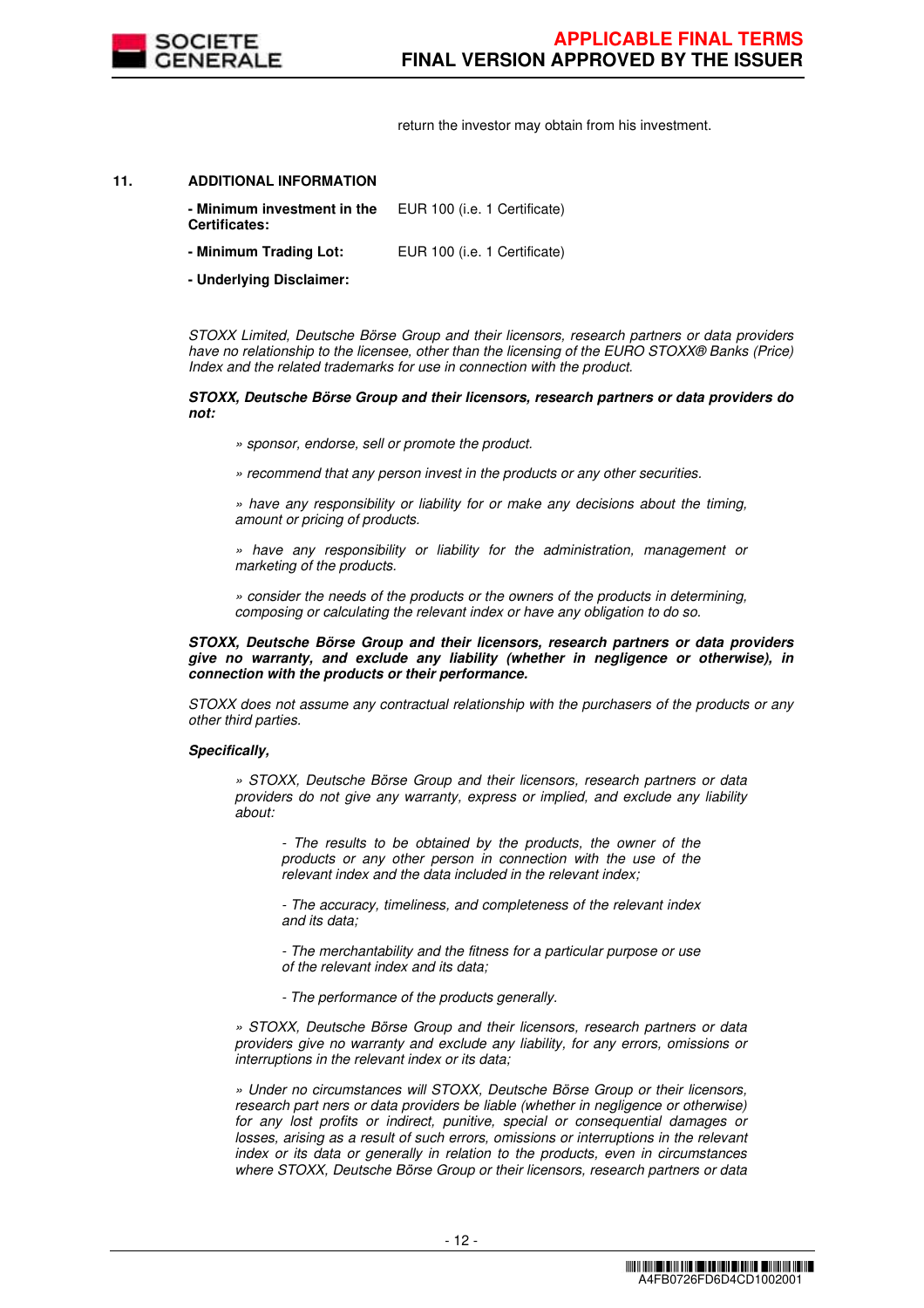

return the investor may obtain from his investment.

### **11. ADDITIONAL INFORMATION**

| - Minimum investment in the | EUR 100 (i.e. 1 Certificate) |
|-----------------------------|------------------------------|
| <b>Certificates:</b>        |                              |
|                             |                              |

- **Minimum Trading Lot:** EUR 100 (i.e. 1 Certificate)
- **Underlying Disclaimer:**

 STOXX Limited, Deutsche Börse Group and their licensors, research partners or data providers have no relationship to the licensee, other than the licensing of the EURO STOXX® Banks (Price) Index and the related trademarks for use in connection with the product.

#### **STOXX, Deutsche Börse Group and their licensors, research partners or data providers do not:**

- » sponsor, endorse, sell or promote the product.
- » recommend that any person invest in the products or any other securities.

» have any responsibility or liability for or make any decisions about the timing, amount or pricing of products.

» have any responsibility or liability for the administration, management or marketing of the products.

» consider the needs of the products or the owners of the products in determining, composing or calculating the relevant index or have any obligation to do so.

#### **STOXX, Deutsche Börse Group and their licensors, research partners or data providers give no warranty, and exclude any liability (whether in negligence or otherwise), in connection with the products or their performance.**

STOXX does not assume any contractual relationship with the purchasers of the products or any other third parties.

### **Specifically,**

» STOXX, Deutsche Börse Group and their licensors, research partners or data providers do not give any warranty, express or implied, and exclude any liability about:

- The results to be obtained by the products, the owner of the products or any other person in connection with the use of the relevant index and the data included in the relevant index;

- The accuracy, timeliness, and completeness of the relevant index and its data;

- The merchantability and the fitness for a particular purpose or use of the relevant index and its data;

- The performance of the products generally.

» STOXX, Deutsche Börse Group and their licensors, research partners or data providers give no warranty and exclude any liability, for any errors, omissions or interruptions in the relevant index or its data;

» Under no circumstances will STOXX, Deutsche Börse Group or their licensors, research part ners or data providers be liable (whether in negligence or otherwise) for any lost profits or indirect, punitive, special or consequential damages or losses, arising as a result of such errors, omissions or interruptions in the relevant index or its data or generally in relation to the products, even in circumstances where STOXX, Deutsche Börse Group or their licensors, research partners or data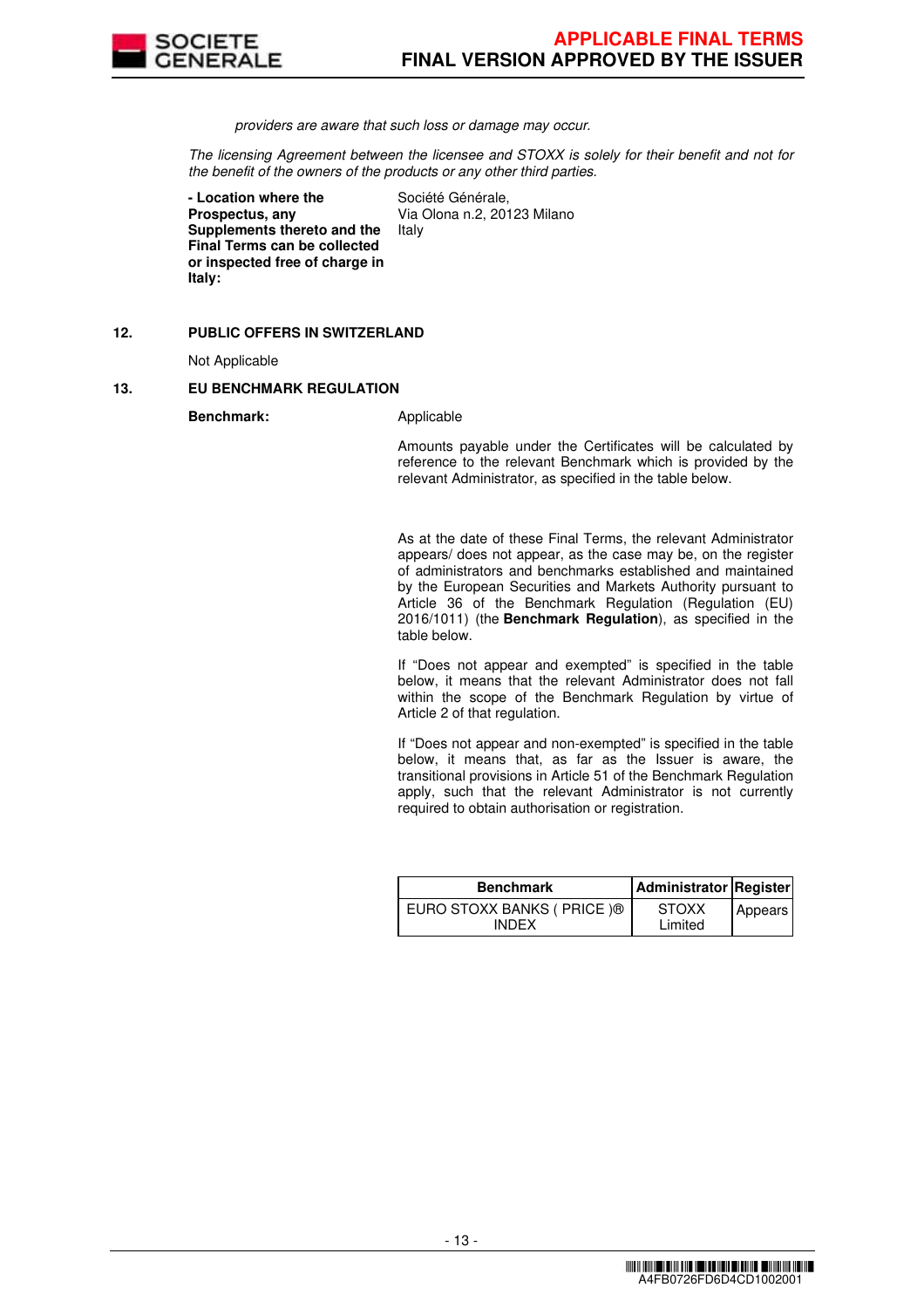

providers are aware that such loss or damage may occur.

The licensing Agreement between the licensee and STOXX is solely for their benefit and not for the benefit of the owners of the products or any other third parties.

 **- Location where the Prospectus, any Supplements thereto and the Final Terms can be collected or inspected free of charge in Italy:**

Société Générale, Via Olona n.2, 20123 Milano Italy

# **12. PUBLIC OFFERS IN SWITZERLAND**

Not Applicable

### **13. EU BENCHMARK REGULATION**

**Benchmark:** Applicable

Amounts payable under the Certificates will be calculated by reference to the relevant Benchmark which is provided by the relevant Administrator, as specified in the table below.

As at the date of these Final Terms, the relevant Administrator appears/ does not appear, as the case may be, on the register of administrators and benchmarks established and maintained by the European Securities and Markets Authority pursuant to Article 36 of the Benchmark Regulation (Regulation (EU) 2016/1011) (the **Benchmark Regulation**), as specified in the table below.

If "Does not appear and exempted" is specified in the table below, it means that the relevant Administrator does not fall within the scope of the Benchmark Regulation by virtue of Article 2 of that regulation.

If "Does not appear and non-exempted" is specified in the table below, it means that, as far as the Issuer is aware, the transitional provisions in Article 51 of the Benchmark Regulation apply, such that the relevant Administrator is not currently required to obtain authorisation or registration.

| <b>Benchmark</b>            | Administrator Register |                |
|-----------------------------|------------------------|----------------|
| EURO STOXX BANKS ( PRICE )® | <b>STOXX</b>           | <b>Appears</b> |
| INDFX                       | Limited                |                |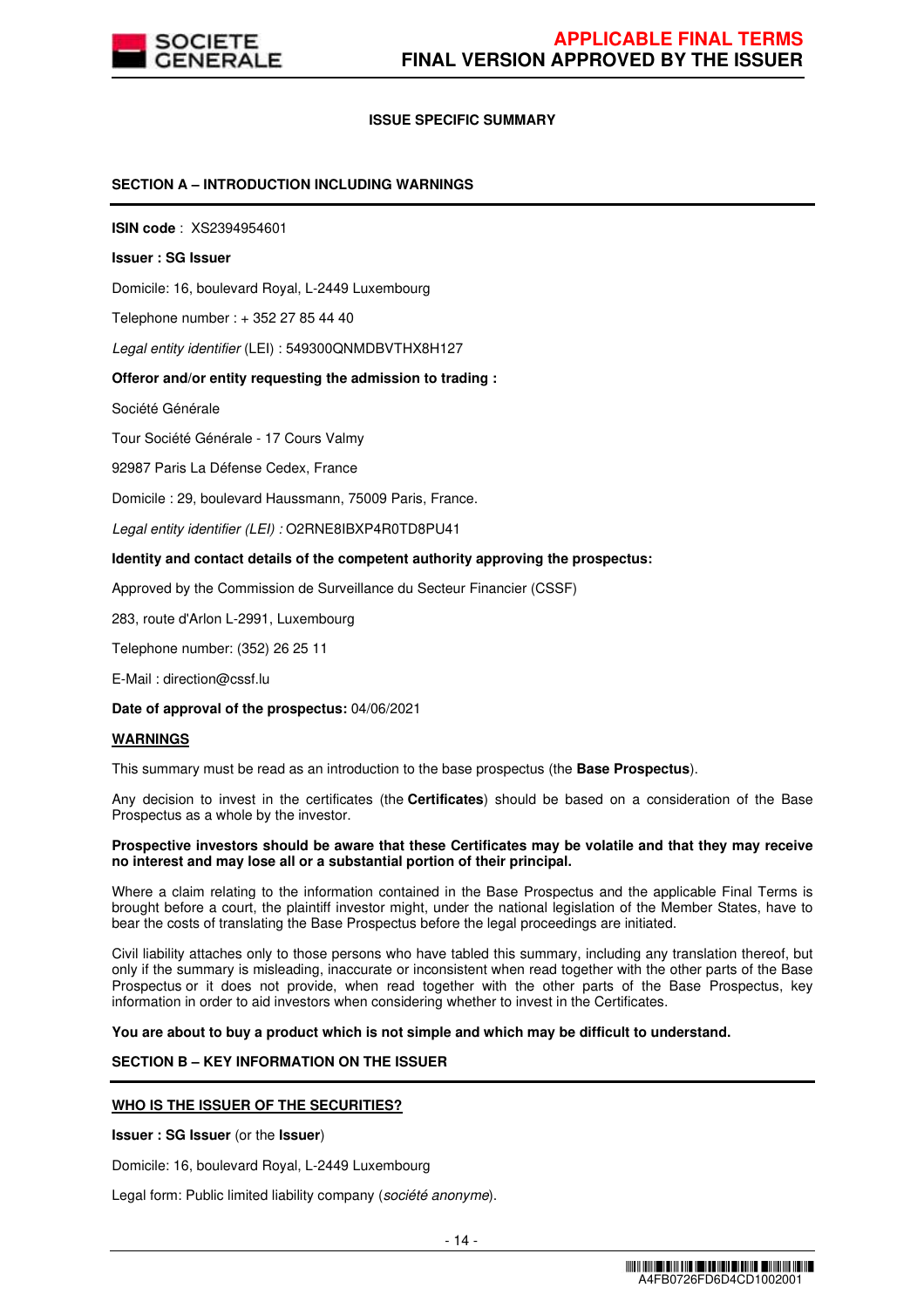

### **ISSUE SPECIFIC SUMMARY**

### **SECTION A – INTRODUCTION INCLUDING WARNINGS**

**ISIN code** : XS2394954601

#### **Issuer : SG Issuer**

Domicile: 16, boulevard Royal, L-2449 Luxembourg

Telephone number : + 352 27 85 44 40

Legal entity identifier (LEI) : 549300QNMDBVTHX8H127

### **Offeror and/or entity requesting the admission to trading :**

Société Générale

Tour Société Générale - 17 Cours Valmy

92987 Paris La Défense Cedex, France

Domicile : 29, boulevard Haussmann, 75009 Paris, France.

Legal entity identifier (LEI) : O2RNE8IBXP4R0TD8PU41

#### **Identity and contact details of the competent authority approving the prospectus:**

Approved by the Commission de Surveillance du Secteur Financier (CSSF)

283, route d'Arlon L-2991, Luxembourg

Telephone number: (352) 26 25 11

E-Mail : direction@cssf.lu

**Date of approval of the prospectus:** 04/06/2021

#### **WARNINGS**

This summary must be read as an introduction to the base prospectus (the **Base Prospectus**).

Any decision to invest in the certificates (the **Certificates**) should be based on a consideration of the Base Prospectus as a whole by the investor.

#### **Prospective investors should be aware that these Certificates may be volatile and that they may receive no interest and may lose all or a substantial portion of their principal.**

Where a claim relating to the information contained in the Base Prospectus and the applicable Final Terms is brought before a court, the plaintiff investor might, under the national legislation of the Member States, have to bear the costs of translating the Base Prospectus before the legal proceedings are initiated.

Civil liability attaches only to those persons who have tabled this summary, including any translation thereof, but only if the summary is misleading, inaccurate or inconsistent when read together with the other parts of the Base Prospectus or it does not provide, when read together with the other parts of the Base Prospectus, key information in order to aid investors when considering whether to invest in the Certificates.

**You are about to buy a product which is not simple and which may be difficult to understand.**

# **SECTION B – KEY INFORMATION ON THE ISSUER**

### **WHO IS THE ISSUER OF THE SECURITIES?**

**Issuer : SG Issuer** (or the **Issuer**)

Domicile: 16, boulevard Royal, L-2449 Luxembourg

Legal form: Public limited liability company (société anonyme).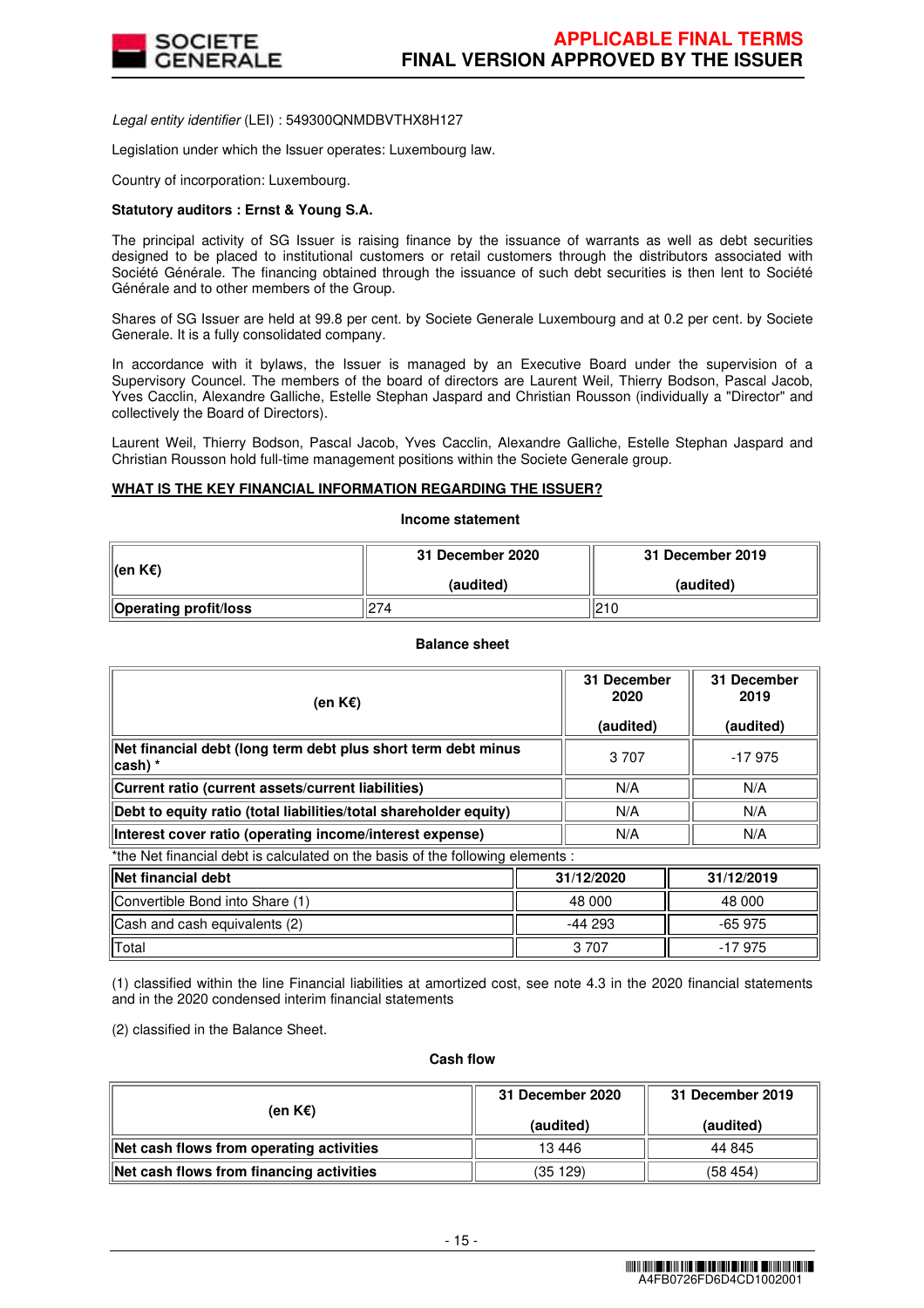

Legal entity identifier (LEI) : 549300QNMDBVTHX8H127

Legislation under which the Issuer operates: Luxembourg law.

Country of incorporation: Luxembourg.

### **Statutory auditors : Ernst & Young S.A.**

The principal activity of SG Issuer is raising finance by the issuance of warrants as well as debt securities designed to be placed to institutional customers or retail customers through the distributors associated with Société Générale. The financing obtained through the issuance of such debt securities is then lent to Société Générale and to other members of the Group.

Shares of SG Issuer are held at 99.8 per cent. by Societe Generale Luxembourg and at 0.2 per cent. by Societe Generale. It is a fully consolidated company.

In accordance with it bylaws, the Issuer is managed by an Executive Board under the supervision of a Supervisory Councel. The members of the board of directors are Laurent Weil, Thierry Bodson, Pascal Jacob, Yves Cacclin, Alexandre Galliche, Estelle Stephan Jaspard and Christian Rousson (individually a "Director" and collectively the Board of Directors).

Laurent Weil, Thierry Bodson, Pascal Jacob, Yves Cacclin, Alexandre Galliche, Estelle Stephan Jaspard and Christian Rousson hold full-time management positions within the Societe Generale group.

### **WHAT IS THE KEY FINANCIAL INFORMATION REGARDING THE ISSUER?**

**Income statement**

| ∥(en K€)                     | 31 December 2020 | 31 December 2019 |  |
|------------------------------|------------------|------------------|--|
|                              | (audited)        | (audited)        |  |
| <b>Operating profit/loss</b> | 274              | 210              |  |

### **Balance sheet**

| (en K€)                                                                        | 31 December<br>2020<br>(audited) | 31 December<br>2019<br>(audited) |
|--------------------------------------------------------------------------------|----------------------------------|----------------------------------|
| Net financial debt (long term debt plus short term debt minus<br>∣cash) *      | 3 7 0 7                          | -17975                           |
| Current ratio (current assets/current liabilities)                             | N/A                              | N/A                              |
| Debt to equity ratio (total liabilities/total shareholder equity)              | N/A                              | N/A                              |
| Interest cover ratio (operating income/interest expense)                       | N/A                              | N/A                              |
| *the Net financial debt is calculated on the basis of the following elements : |                                  |                                  |

| <b>Net financial debt</b>       | 31/12/2020 | 31/12/2019 |
|---------------------------------|------------|------------|
| Convertible Bond into Share (1) | 48 000     | 48 000     |
| Cash and cash equivalents (2)   | -44 293    | $-65975$   |
| Total                           | 3 7 0 7    | $-17975$   |

(1) classified within the line Financial liabilities at amortized cost, see note 4.3 in the 2020 financial statements and in the 2020 condensed interim financial statements

(2) classified in the Balance Sheet.

### **Cash flow**

| (en K€)                                  | 31 December 2020 | 31 December 2019 |  |
|------------------------------------------|------------------|------------------|--|
|                                          | (audited)        | (audited)        |  |
| Net cash flows from operating activities | 13 4 46          | 44 845           |  |
| Net cash flows from financing activities | (35 129)         | (58454)          |  |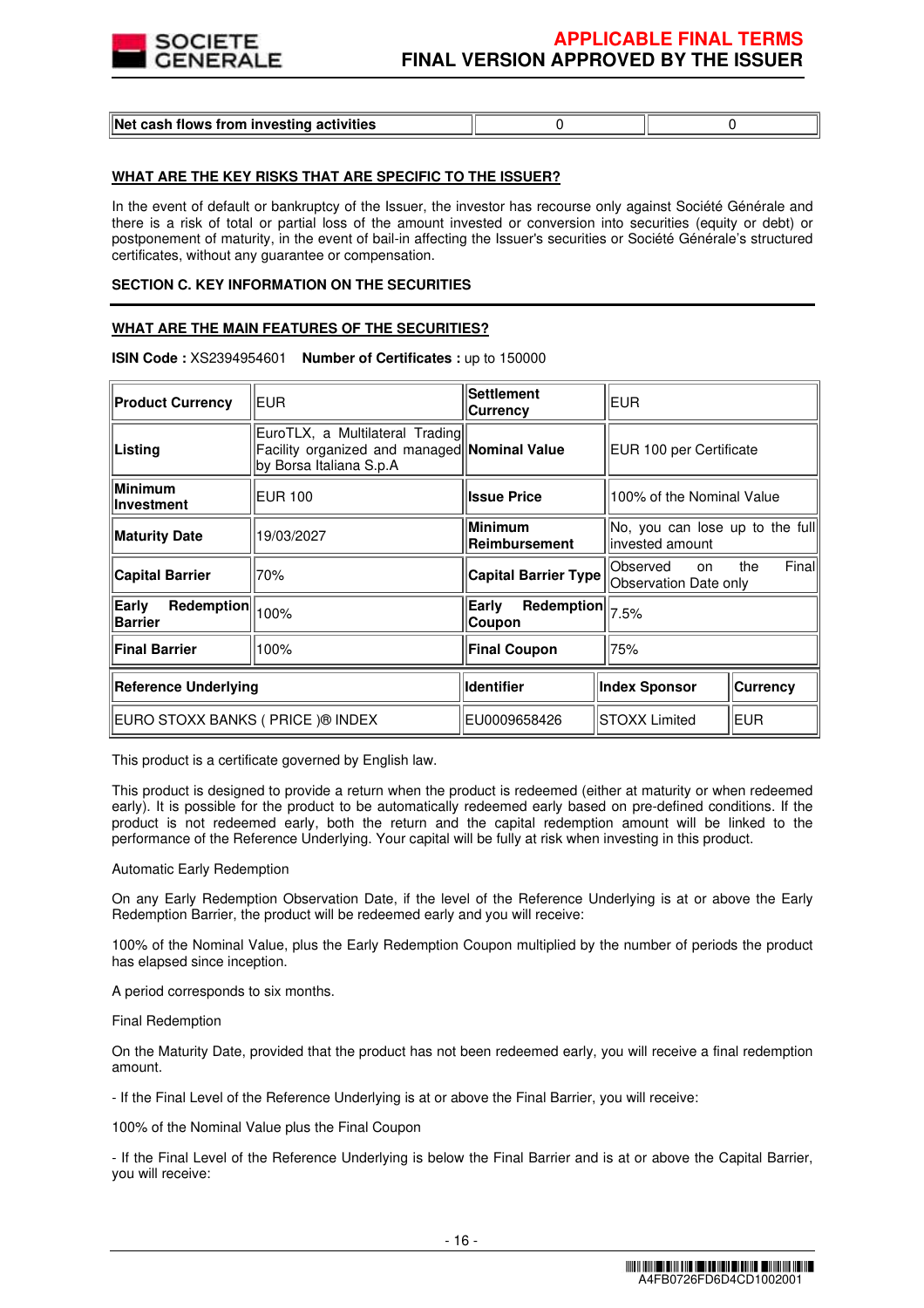

| Net cash flows from investing activities |  |  |
|------------------------------------------|--|--|
|------------------------------------------|--|--|

### **WHAT ARE THE KEY RISKS THAT ARE SPECIFIC TO THE ISSUER?**

In the event of default or bankruptcy of the Issuer, the investor has recourse only against Société Générale and there is a risk of total or partial loss of the amount invested or conversion into securities (equity or debt) or postponement of maturity, in the event of bail-in affecting the Issuer's securities or Société Générale's structured certificates, without any guarantee or compensation.

### **SECTION C. KEY INFORMATION ON THE SECURITIES**

### **WHAT ARE THE MAIN FEATURES OF THE SECURITIES?**

| <b>Product Currency</b>               | <b>EUR</b>                                                                                                 | <b>Settlement</b><br>Currency   | EUR                                                |                 |
|---------------------------------------|------------------------------------------------------------------------------------------------------------|---------------------------------|----------------------------------------------------|-----------------|
| Listing                               | EuroTLX, a Multilateral Trading<br>Facility organized and managed Nominal Value<br>by Borsa Italiana S.p.A |                                 | EUR 100 per Certificate                            |                 |
| <b>Minimum</b><br>Investment          | <b>EUR 100</b>                                                                                             | <b>Issue Price</b>              | 100% of the Nominal Value                          |                 |
| <b>Maturity Date</b>                  | 19/03/2027                                                                                                 | <b>Minimum</b><br>Reimbursement | No, you can lose up to the full<br>invested amount |                 |
| <b>Capital Barrier</b>                | 70%                                                                                                        | <b>Capital Barrier Type</b>     | Observed<br>on<br>Observation Date only            | Finall<br>the   |
| Redemption<br>Early<br><b>Barrier</b> | 100%                                                                                                       | Redemption<br>Early<br>Coupon   | 7.5%                                               |                 |
| <b>Final Barrier</b>                  | 100%                                                                                                       | <b>Final Coupon</b>             | 75%                                                |                 |
| <b>Reference Underlying</b>           |                                                                                                            | <b>Identifier</b>               | <b>Index Sponsor</b>                               | <b>Currency</b> |
| EURO STOXX BANKS (PRICE) ® INDEX      |                                                                                                            | EU0009658426                    | <b>STOXX Limited</b>                               | <b>EUR</b>      |

**ISIN Code :** XS2394954601 **Number of Certificates :** up to 150000

This product is a certificate governed by English law.

This product is designed to provide a return when the product is redeemed (either at maturity or when redeemed early). It is possible for the product to be automatically redeemed early based on pre-defined conditions. If the product is not redeemed early, both the return and the capital redemption amount will be linked to the performance of the Reference Underlying. Your capital will be fully at risk when investing in this product.

### Automatic Early Redemption

On any Early Redemption Observation Date, if the level of the Reference Underlying is at or above the Early Redemption Barrier, the product will be redeemed early and you will receive:

100% of the Nominal Value, plus the Early Redemption Coupon multiplied by the number of periods the product has elapsed since inception.

A period corresponds to six months.

Final Redemption

On the Maturity Date, provided that the product has not been redeemed early, you will receive a final redemption amount.

- If the Final Level of the Reference Underlying is at or above the Final Barrier, you will receive:

100% of the Nominal Value plus the Final Coupon

- If the Final Level of the Reference Underlying is below the Final Barrier and is at or above the Capital Barrier, you will receive: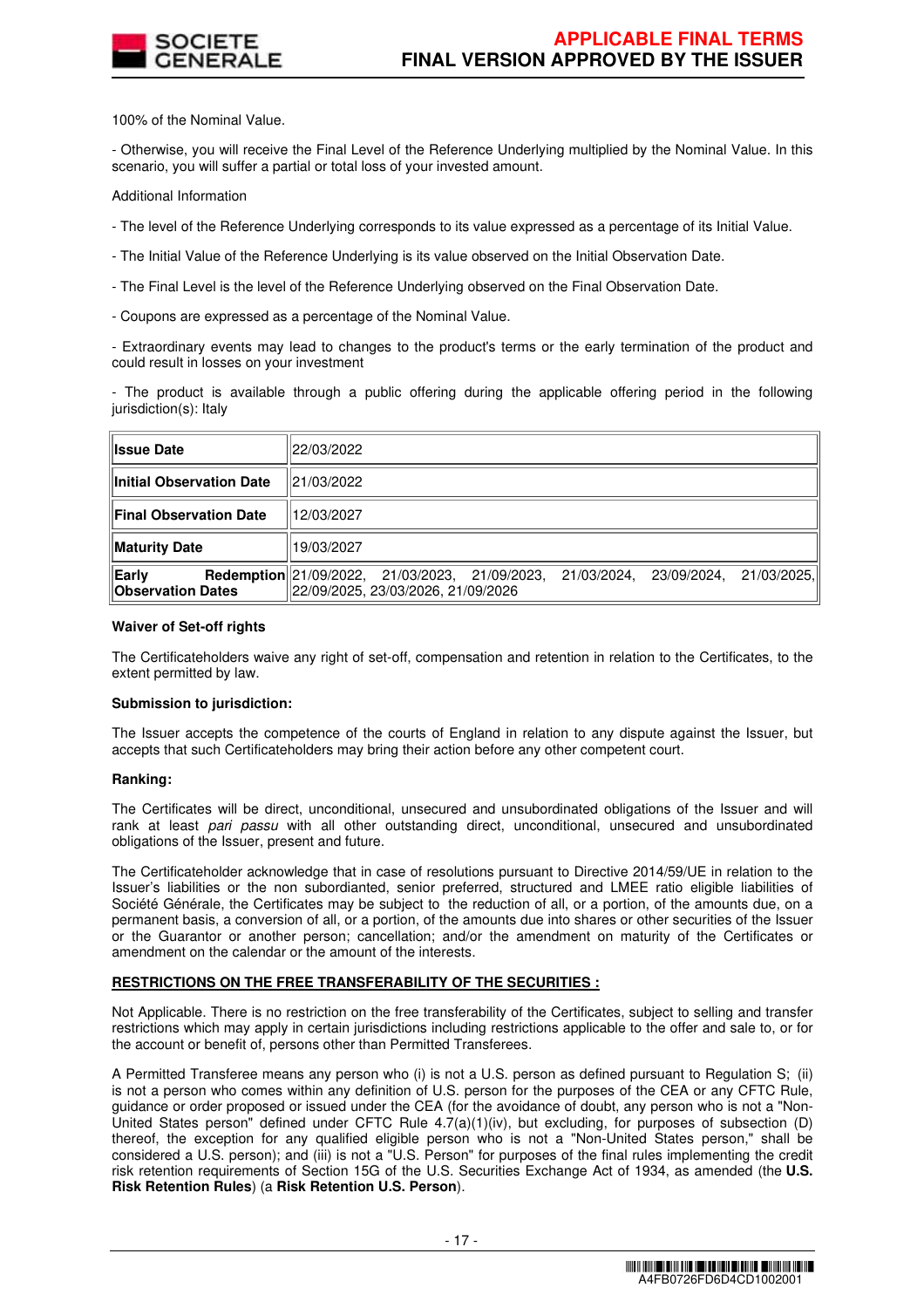

100% of the Nominal Value.

- Otherwise, you will receive the Final Level of the Reference Underlying multiplied by the Nominal Value. In this scenario, you will suffer a partial or total loss of your invested amount.

Additional Information

- The level of the Reference Underlying corresponds to its value expressed as a percentage of its Initial Value.
- The Initial Value of the Reference Underlying is its value observed on the Initial Observation Date.
- The Final Level is the level of the Reference Underlying observed on the Final Observation Date.
- Coupons are expressed as a percentage of the Nominal Value.

- Extraordinary events may lead to changes to the product's terms or the early termination of the product and could result in losses on your investment

- The product is available through a public offering during the applicable offering period in the following iurisdiction(s): Italy

| <b>Issue Date</b>                 | 22/03/2022                                                                                                                                 |
|-----------------------------------|--------------------------------------------------------------------------------------------------------------------------------------------|
| Initial Observation Date          | 121/03/2022                                                                                                                                |
| <b>Final Observation Date</b>     | 12/03/2027                                                                                                                                 |
| <b>Maturity Date</b>              | 19/03/2027                                                                                                                                 |
| Early<br><b>Observation Dates</b> | <b>Redemption</b> 21/09/2022, 21/03/2023, 21/09/2023,<br>21/03/2025.<br>21/03/2024.<br>23/09/2024.<br>  22/09/2025, 23/03/2026, 21/09/2026 |

### **Waiver of Set-off rights**

The Certificateholders waive any right of set-off, compensation and retention in relation to the Certificates, to the extent permitted by law.

### **Submission to jurisdiction:**

The Issuer accepts the competence of the courts of England in relation to any dispute against the Issuer, but accepts that such Certificateholders may bring their action before any other competent court.

### **Ranking:**

The Certificates will be direct, unconditional, unsecured and unsubordinated obligations of the Issuer and will rank at least pari passu with all other outstanding direct, unconditional, unsecured and unsubordinated obligations of the Issuer, present and future.

The Certificateholder acknowledge that in case of resolutions pursuant to Directive 2014/59/UE in relation to the Issuer's liabilities or the non subordianted, senior preferred, structured and LMEE ratio eligible liabilities of Société Générale, the Certificates may be subject to the reduction of all, or a portion, of the amounts due, on a permanent basis, a conversion of all, or a portion, of the amounts due into shares or other securities of the Issuer or the Guarantor or another person; cancellation; and/or the amendment on maturity of the Certificates or amendment on the calendar or the amount of the interests.

# **RESTRICTIONS ON THE FREE TRANSFERABILITY OF THE SECURITIES :**

Not Applicable. There is no restriction on the free transferability of the Certificates, subject to selling and transfer restrictions which may apply in certain jurisdictions including restrictions applicable to the offer and sale to, or for the account or benefit of, persons other than Permitted Transferees.

A Permitted Transferee means any person who (i) is not a U.S. person as defined pursuant to Regulation S; (ii) is not a person who comes within any definition of U.S. person for the purposes of the CEA or any CFTC Rule, guidance or order proposed or issued under the CEA (for the avoidance of doubt, any person who is not a "Non-United States person" defined under CFTC Rule  $4.7(a)(1)(iv)$ , but excluding, for purposes of subsection (D) thereof, the exception for any qualified eligible person who is not a "Non-United States person," shall be considered a U.S. person); and (iii) is not a "U.S. Person" for purposes of the final rules implementing the credit risk retention requirements of Section 15G of the U.S. Securities Exchange Act of 1934, as amended (the **U.S. Risk Retention Rules**) (a **Risk Retention U.S. Person**).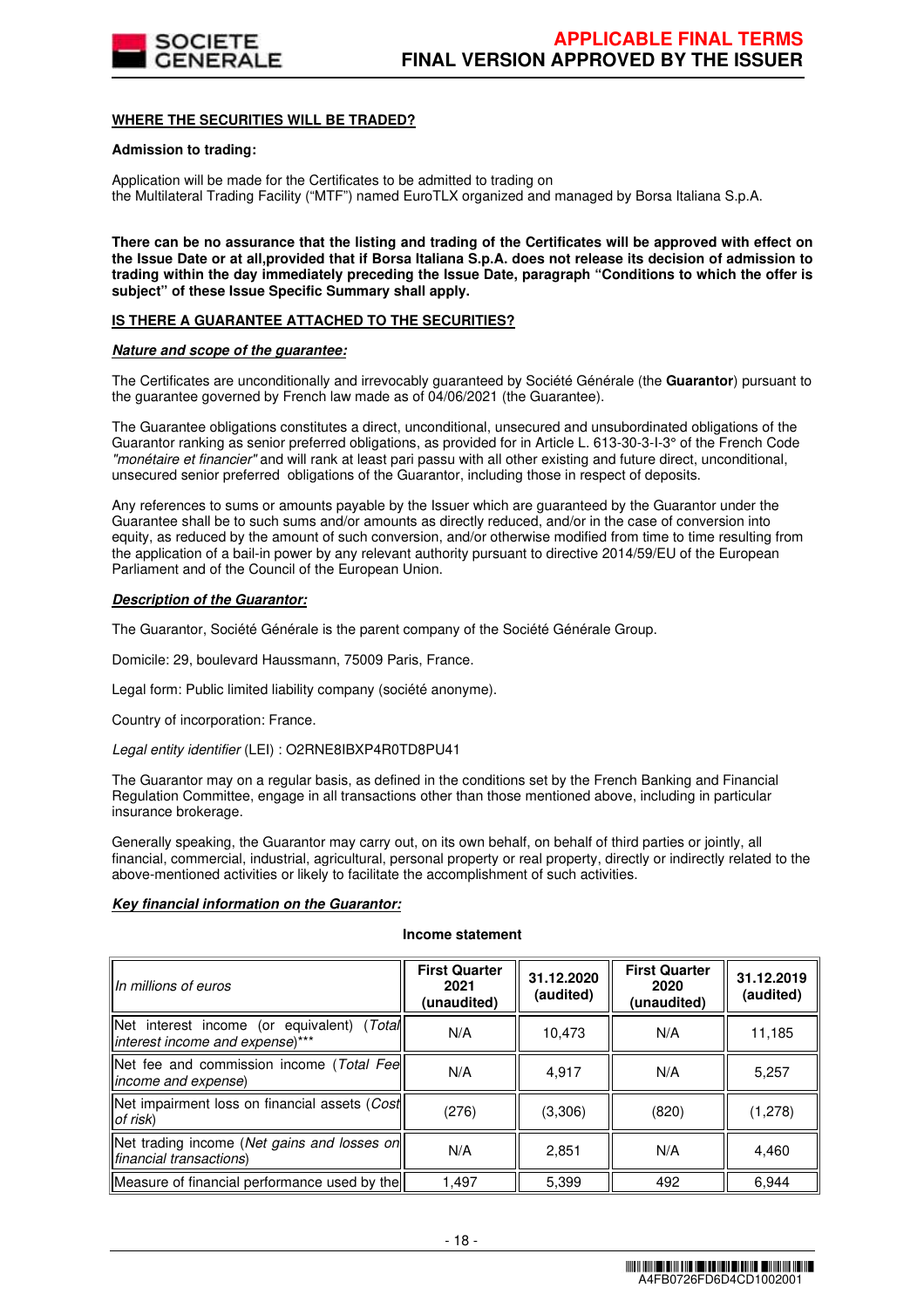

### **WHERE THE SECURITIES WILL BE TRADED?**

#### **Admission to trading:**

Application will be made for the Certificates to be admitted to trading on the Multilateral Trading Facility ("MTF") named EuroTLX organized and managed by Borsa Italiana S.p.A.

**There can be no assurance that the listing and trading of the Certificates will be approved with effect on the Issue Date or at all,provided that if Borsa Italiana S.p.A. does not release its decision of admission to trading within the day immediately preceding the Issue Date, paragraph "Conditions to which the offer is subject" of these Issue Specific Summary shall apply.**

### **IS THERE A GUARANTEE ATTACHED TO THE SECURITIES?**

### **Nature and scope of the guarantee:**

The Certificates are unconditionally and irrevocably guaranteed by Société Générale (the **Guarantor**) pursuant to the guarantee governed by French law made as of 04/06/2021 (the Guarantee).

The Guarantee obligations constitutes a direct, unconditional, unsecured and unsubordinated obligations of the Guarantor ranking as senior preferred obligations, as provided for in Article L. 613-30-3-I-3° of the French Code "monétaire et financier" and will rank at least pari passu with all other existing and future direct, unconditional, unsecured senior preferred obligations of the Guarantor, including those in respect of deposits.

Any references to sums or amounts payable by the Issuer which are guaranteed by the Guarantor under the Guarantee shall be to such sums and/or amounts as directly reduced, and/or in the case of conversion into equity, as reduced by the amount of such conversion, and/or otherwise modified from time to time resulting from the application of a bail-in power by any relevant authority pursuant to directive 2014/59/EU of the European Parliament and of the Council of the European Union.

#### **Description of the Guarantor:**

The Guarantor, Société Générale is the parent company of the Société Générale Group.

Domicile: 29, boulevard Haussmann, 75009 Paris, France.

Legal form: Public limited liability company (société anonyme).

Country of incorporation: France.

Legal entity identifier (LEI) : O2RNE8IBXP4R0TD8PU41

The Guarantor may on a regular basis, as defined in the conditions set by the French Banking and Financial Regulation Committee, engage in all transactions other than those mentioned above, including in particular insurance brokerage.

Generally speaking, the Guarantor may carry out, on its own behalf, on behalf of third parties or jointly, all financial, commercial, industrial, agricultural, personal property or real property, directly or indirectly related to the above-mentioned activities or likely to facilitate the accomplishment of such activities.

### **Key financial information on the Guarantor:**

#### **Income statement**

| In millions of euros                                                              | <b>First Quarter</b><br>2021<br>(unaudited) | 31.12.2020<br>(audited) | <b>First Quarter</b><br>2020<br>(unaudited) | 31.12.2019<br>(audited) |
|-----------------------------------------------------------------------------------|---------------------------------------------|-------------------------|---------------------------------------------|-------------------------|
| Net interest income (or equivalent)<br>(Totall<br>interest income and expense)*** | N/A                                         | 10,473                  | N/A                                         | 11,185                  |
| Net fee and commission income (Total Fee<br>income and expense)                   | N/A                                         | 4,917                   | N/A                                         | 5,257                   |
| Net impairment loss on financial assets (Cost<br>of risk)                         | (276)                                       | (3,306)                 | (820)                                       | (1,278)                 |
| Net trading income (Net gains and losses on<br>financial transactions)            | N/A                                         | 2,851                   | N/A                                         | 4,460                   |
| Measure of financial performance used by the                                      | 1,497                                       | 5,399                   | 492                                         | 6,944                   |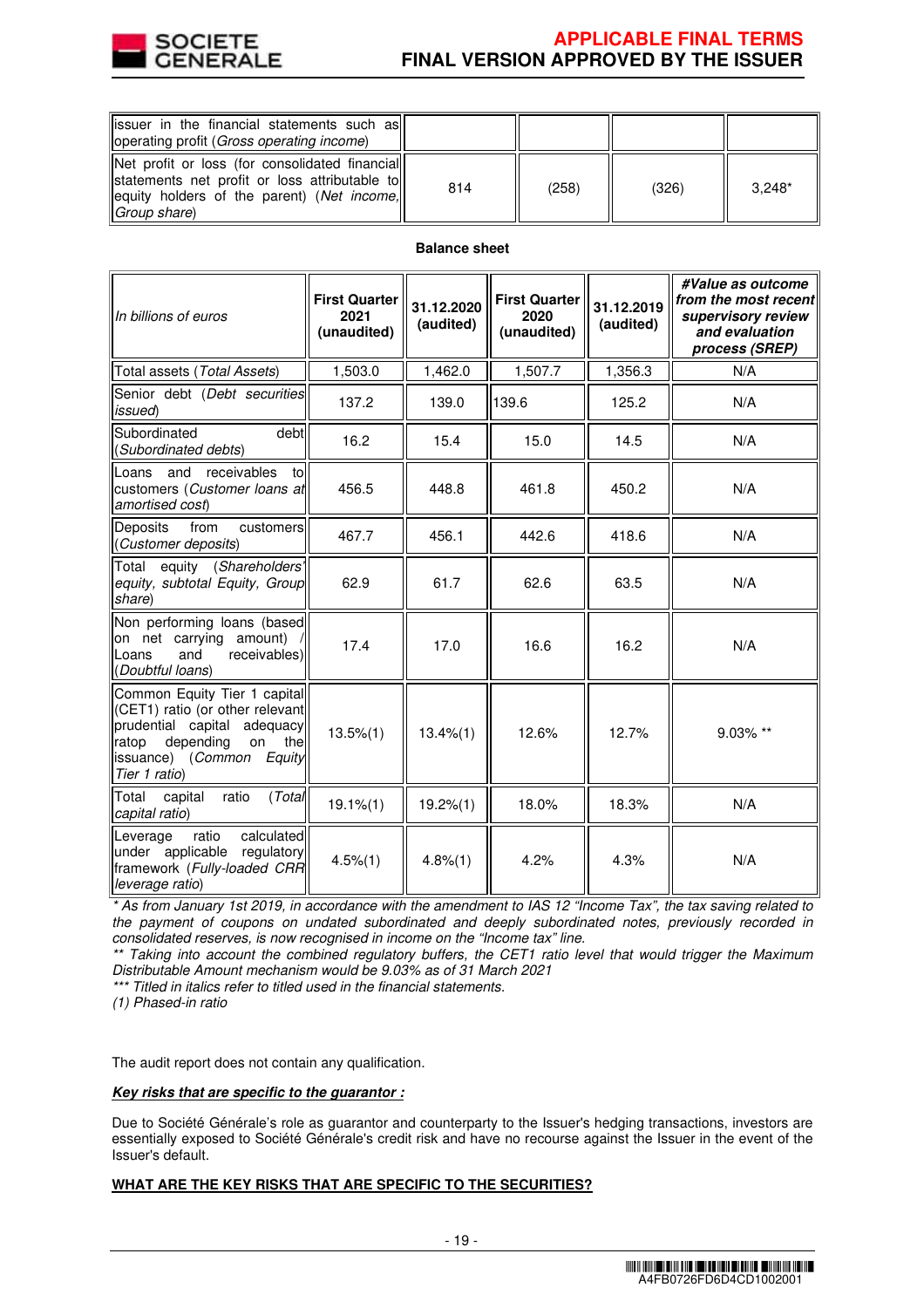

# **APPLICABLE FINAL TERMS FINAL VERSION APPROVED BY THE ISSUER**

| lissuer in the financial statements such as<br>loperating profit (Gross operating income)                                                                        |     |       |       |          |
|------------------------------------------------------------------------------------------------------------------------------------------------------------------|-----|-------|-------|----------|
| Net profit or loss (for consolidated financial)<br>statements net profit or loss attributable toll<br>equity holders of the parent) (Net income,<br>Group share) | 814 | (258) | (326) | $3.248*$ |

#### **Balance sheet**

| In billions of euros                                                                                                                                                                 | <b>First Quarter</b><br>2021<br>(unaudited) | 31.12.2020<br>(audited) | <b>First Quarter</b><br>2020<br>(unaudited) | 31.12.2019<br>(audited) | #Value as outcome<br>from the most recent<br>supervisory review<br>and evaluation<br>process (SREP) |
|--------------------------------------------------------------------------------------------------------------------------------------------------------------------------------------|---------------------------------------------|-------------------------|---------------------------------------------|-------------------------|-----------------------------------------------------------------------------------------------------|
| Total assets (Total Assets)                                                                                                                                                          | 1,503.0                                     | 1,462.0                 | 1,507.7                                     | 1,356.3                 | N/A                                                                                                 |
| Senior debt (Debt securities<br>issued)                                                                                                                                              | 137.2                                       | 139.0                   | 139.6                                       | 125.2                   | N/A                                                                                                 |
| Subordinated<br>debt<br>(Subordinated debts)                                                                                                                                         | 16.2                                        | 15.4                    | 15.0                                        | 14.5                    | N/A                                                                                                 |
| receivables<br>and<br>to<br>Loans<br>customers (Customer loans at<br>amortised cost)                                                                                                 | 456.5                                       | 448.8                   | 461.8                                       | 450.2                   | N/A                                                                                                 |
| Deposits<br>from<br>customers<br>(Customer deposits)                                                                                                                                 | 467.7                                       | 456.1                   | 442.6                                       | 418.6                   | N/A                                                                                                 |
| Total<br>equity (Shareholders'<br>equity, subtotal Equity, Group<br>share)                                                                                                           | 62.9                                        | 61.7                    | 62.6                                        | 63.5                    | N/A                                                                                                 |
| Non performing loans (based<br>on net carrying amount)<br>and<br>receivables)<br>Loans<br>(Doubtful loans)                                                                           | 17.4                                        | 17.0                    | 16.6                                        | 16.2                    | N/A                                                                                                 |
| Common Equity Tier 1 capital<br>(CET1) ratio (or other relevant<br>prudential capital adequacy<br>depending<br>on<br>the<br>ratop<br>issuance)<br>(Common<br>Equity<br>Tier 1 ratio) | $13.5\%(1)$                                 | $13.4\%(1)$             | 12.6%                                       | 12.7%                   | 9.03% **                                                                                            |
| (Total<br>ratio<br>Total<br>capital<br>capital ratio)                                                                                                                                | $19.1\% (1)$                                | $19.2\%(1)$             | 18.0%                                       | 18.3%                   | N/A                                                                                                 |
| calculated<br>ratio<br>Leverage<br>under applicable<br>regulatory<br>framework (Fully-loaded CRR<br>leverage ratio)                                                                  | $4.5\%(1)$                                  | 4.8%(1)                 | 4.2%                                        | 4.3%                    | N/A                                                                                                 |

\* As from January 1st 2019, in accordance with the amendment to IAS 12 "Income Tax", the tax saving related to the payment of coupons on undated subordinated and deeply subordinated notes, previously recorded in consolidated reserves, is now recognised in income on the "Income tax" line.

\*\* Taking into account the combined regulatory buffers, the CET1 ratio level that would trigger the Maximum Distributable Amount mechanism would be 9.03% as of 31 March 2021

\*\*\* Titled in italics refer to titled used in the financial statements.

(1) Phased-in ratio

The audit report does not contain any qualification.

### **Key risks that are specific to the guarantor :**

Due to Société Générale's role as guarantor and counterparty to the Issuer's hedging transactions, investors are essentially exposed to Société Générale's credit risk and have no recourse against the Issuer in the event of the Issuer's default.

# **WHAT ARE THE KEY RISKS THAT ARE SPECIFIC TO THE SECURITIES?**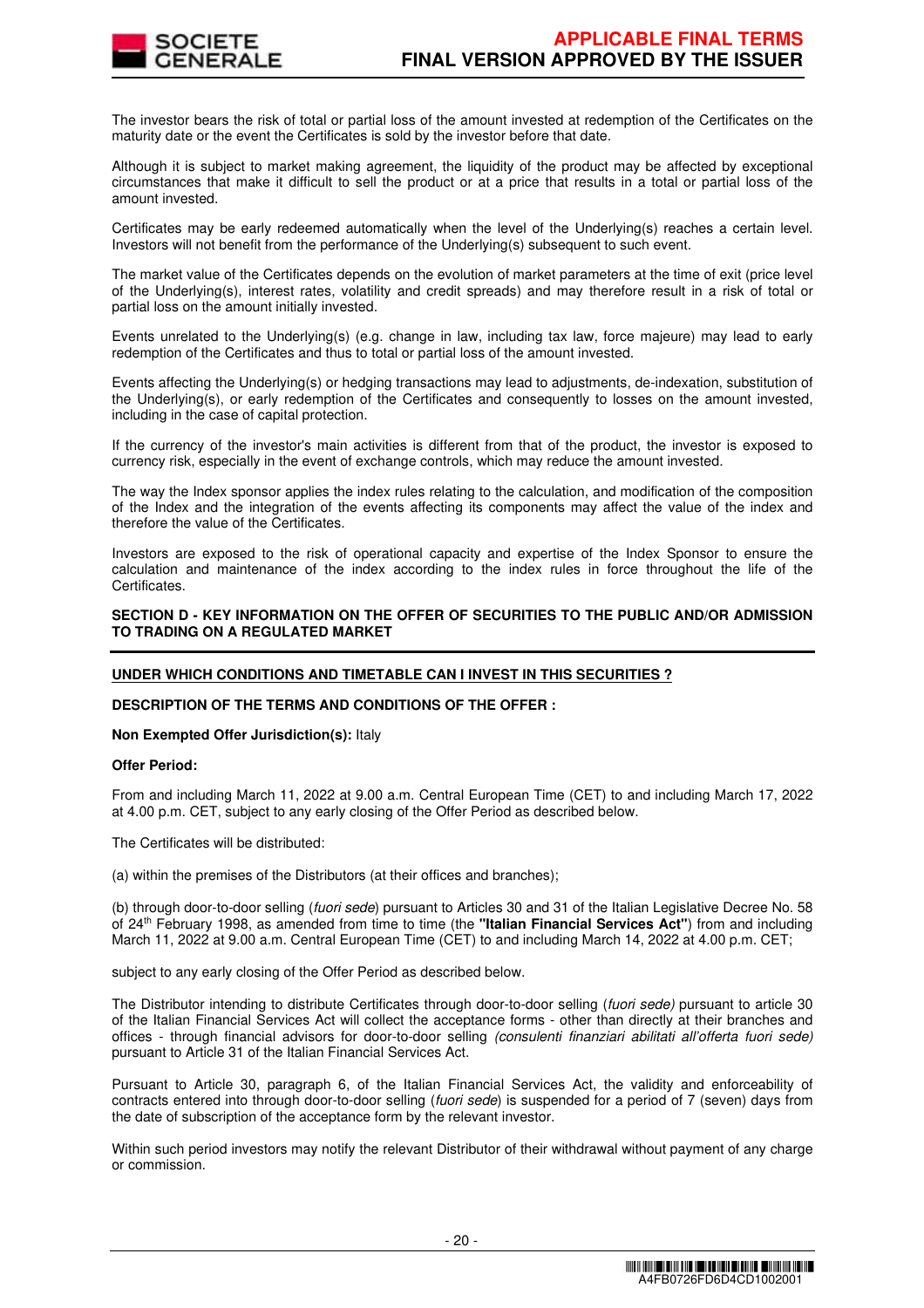

The investor bears the risk of total or partial loss of the amount invested at redemption of the Certificates on the maturity date or the event the Certificates is sold by the investor before that date.

Although it is subject to market making agreement, the liquidity of the product may be affected by exceptional circumstances that make it difficult to sell the product or at a price that results in a total or partial loss of the amount invested.

Certificates may be early redeemed automatically when the level of the Underlying(s) reaches a certain level. Investors will not benefit from the performance of the Underlying(s) subsequent to such event.

The market value of the Certificates depends on the evolution of market parameters at the time of exit (price level of the Underlying(s), interest rates, volatility and credit spreads) and may therefore result in a risk of total or partial loss on the amount initially invested.

Events unrelated to the Underlying(s) (e.g. change in law, including tax law, force majeure) may lead to early redemption of the Certificates and thus to total or partial loss of the amount invested.

Events affecting the Underlying(s) or hedging transactions may lead to adjustments, de-indexation, substitution of the Underlying(s), or early redemption of the Certificates and consequently to losses on the amount invested, including in the case of capital protection.

If the currency of the investor's main activities is different from that of the product, the investor is exposed to currency risk, especially in the event of exchange controls, which may reduce the amount invested.

The way the Index sponsor applies the index rules relating to the calculation, and modification of the composition of the Index and the integration of the events affecting its components may affect the value of the index and therefore the value of the Certificates.

Investors are exposed to the risk of operational capacity and expertise of the Index Sponsor to ensure the calculation and maintenance of the index according to the index rules in force throughout the life of the Certificates.

### **SECTION D - KEY INFORMATION ON THE OFFER OF SECURITIES TO THE PUBLIC AND/OR ADMISSION TO TRADING ON A REGULATED MARKET**

### **UNDER WHICH CONDITIONS AND TIMETABLE CAN I INVEST IN THIS SECURITIES ?**

### **DESCRIPTION OF THE TERMS AND CONDITIONS OF THE OFFER :**

### **Non Exempted Offer Jurisdiction(s):** Italy

#### **Offer Period:**

From and including March 11, 2022 at 9.00 a.m. Central European Time (CET) to and including March 17, 2022 at 4.00 p.m. CET, subject to any early closing of the Offer Period as described below.

The Certificates will be distributed:

(a) within the premises of the Distributors (at their offices and branches);

(b) through door-to-door selling (fuori sede) pursuant to Articles 30 and 31 of the Italian Legislative Decree No. 58 of 24th February 1998, as amended from time to time (the **"Italian Financial Services Act"**) from and including March 11, 2022 at 9.00 a.m. Central European Time (CET) to and including March 14, 2022 at 4.00 p.m. CET;

subject to any early closing of the Offer Period as described below.

The Distributor intending to distribute Certificates through door-to-door selling (fuori sede) pursuant to article 30 of the Italian Financial Services Act will collect the acceptance forms - other than directly at their branches and offices - through financial advisors for door-to-door selling (consulenti finanziari abilitati all'offerta fuori sede) pursuant to Article 31 of the Italian Financial Services Act.

Pursuant to Article 30, paragraph 6, of the Italian Financial Services Act, the validity and enforceability of contracts entered into through door-to-door selling (fuori sede) is suspended for a period of 7 (seven) days from the date of subscription of the acceptance form by the relevant investor.

Within such period investors may notify the relevant Distributor of their withdrawal without payment of any charge or commission.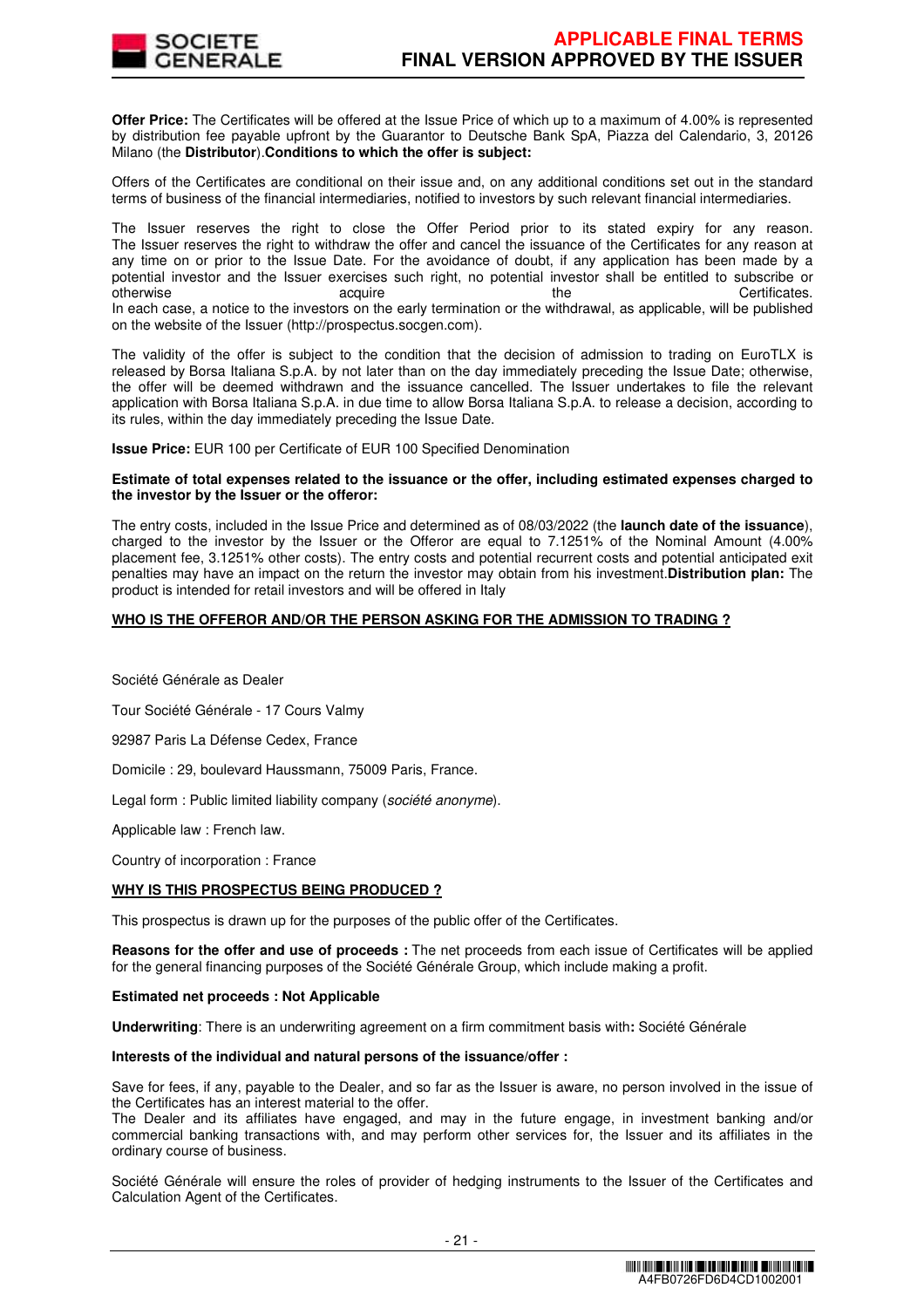**Offer Price:** The Certificates will be offered at the Issue Price of which up to a maximum of 4.00% is represented by distribution fee payable upfront by the Guarantor to Deutsche Bank SpA, Piazza del Calendario, 3, 20126 Milano (the **Distributor**).**Conditions to which the offer is subject:**

Offers of the Certificates are conditional on their issue and, on any additional conditions set out in the standard terms of business of the financial intermediaries, notified to investors by such relevant financial intermediaries.

The Issuer reserves the right to close the Offer Period prior to its stated expiry for any reason. The Issuer reserves the right to withdraw the offer and cancel the issuance of the Certificates for any reason at any time on or prior to the Issue Date. For the avoidance of doubt, if any application has been made by a potential investor and the Issuer exercises such right, no potential investor shall be entitled to subscribe or otherwise acquire acquire the the Certificates. In each case, a notice to the investors on the early termination or the withdrawal, as applicable, will be published on the website of the Issuer (http://prospectus.socgen.com).

The validity of the offer is subject to the condition that the decision of admission to trading on EuroTLX is released by Borsa Italiana S.p.A. by not later than on the day immediately preceding the Issue Date; otherwise, the offer will be deemed withdrawn and the issuance cancelled. The Issuer undertakes to file the relevant application with Borsa Italiana S.p.A. in due time to allow Borsa Italiana S.p.A. to release a decision, according to its rules, within the day immediately preceding the Issue Date.

**Issue Price:** EUR 100 per Certificate of EUR 100 Specified Denomination

### **Estimate of total expenses related to the issuance or the offer, including estimated expenses charged to the investor by the Issuer or the offeror:**

The entry costs, included in the Issue Price and determined as of 08/03/2022 (the **launch date of the issuance**), charged to the investor by the Issuer or the Offeror are equal to 7.1251% of the Nominal Amount (4.00% placement fee, 3.1251% other costs). The entry costs and potential recurrent costs and potential anticipated exit penalties may have an impact on the return the investor may obtain from his investment.**Distribution plan:** The product is intended for retail investors and will be offered in Italy

# **WHO IS THE OFFEROR AND/OR THE PERSON ASKING FOR THE ADMISSION TO TRADING ?**

Société Générale as Dealer

Tour Société Générale - 17 Cours Valmy

92987 Paris La Défense Cedex, France

Domicile : 29, boulevard Haussmann, 75009 Paris, France.

Legal form : Public limited liability company (société anonyme).

Applicable law : French law.

Country of incorporation : France

### **WHY IS THIS PROSPECTUS BEING PRODUCED ?**

This prospectus is drawn up for the purposes of the public offer of the Certificates.

**Reasons for the offer and use of proceeds :** The net proceeds from each issue of Certificates will be applied for the general financing purposes of the Société Générale Group, which include making a profit.

### **Estimated net proceeds : Not Applicable**

**Underwriting**: There is an underwriting agreement on a firm commitment basis with**:** Société Générale

### **Interests of the individual and natural persons of the issuance/offer :**

Save for fees, if any, payable to the Dealer, and so far as the Issuer is aware, no person involved in the issue of the Certificates has an interest material to the offer.

The Dealer and its affiliates have engaged, and may in the future engage, in investment banking and/or commercial banking transactions with, and may perform other services for, the Issuer and its affiliates in the ordinary course of business.

Société Générale will ensure the roles of provider of hedging instruments to the Issuer of the Certificates and Calculation Agent of the Certificates.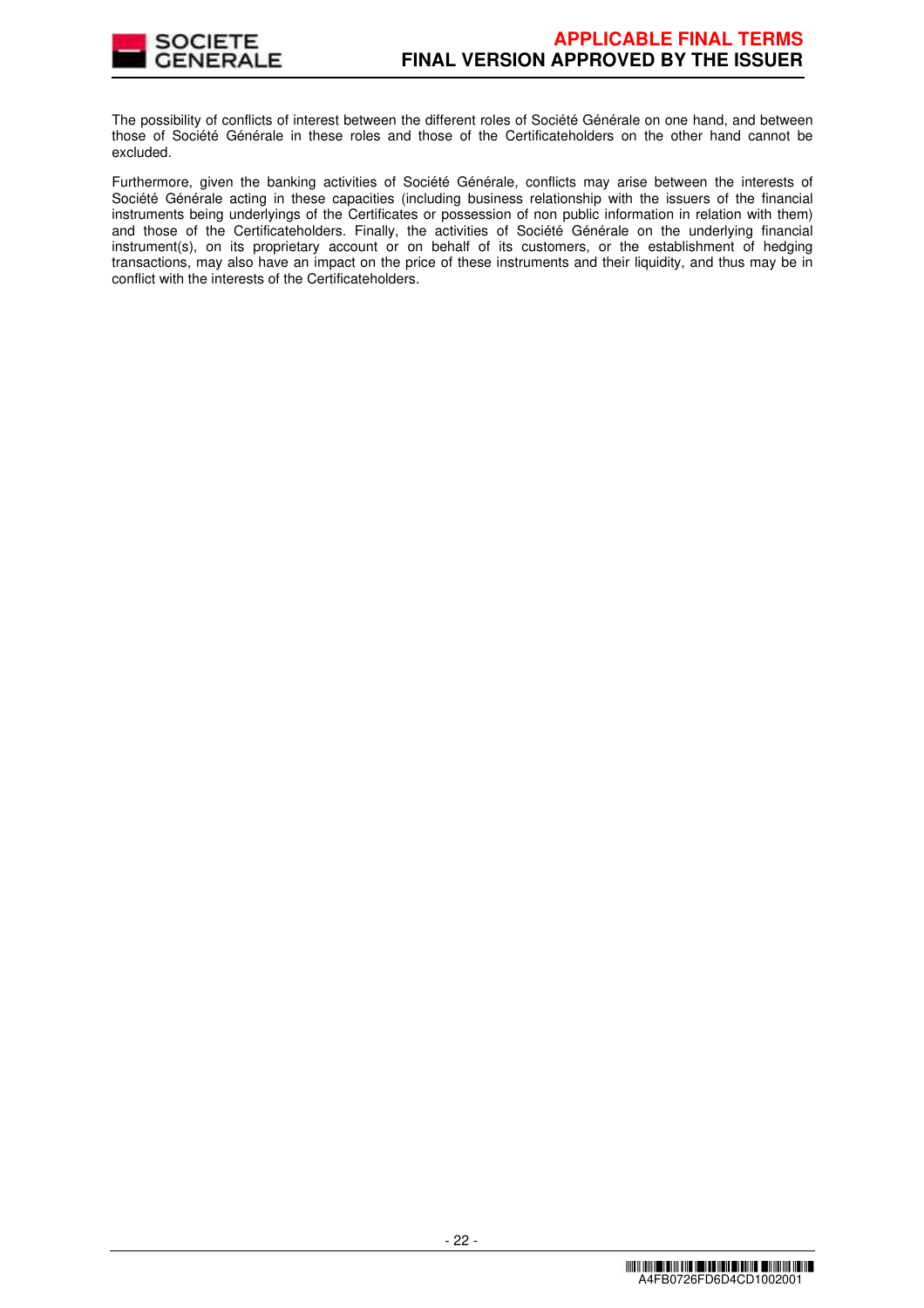

The possibility of conflicts of interest between the different roles of Société Générale on one hand, and between those of Société Générale in these roles and those of the Certificateholders on the other hand cannot be excluded.

Furthermore, given the banking activities of Société Générale, conflicts may arise between the interests of Société Générale acting in these capacities (including business relationship with the issuers of the financial instruments being underlyings of the Certificates or possession of non public information in relation with them) and those of the Certificateholders. Finally, the activities of Société Générale on the underlying financial instrument(s), on its proprietary account or on behalf of its customers, or the establishment of hedging transactions, may also have an impact on the price of these instruments and their liquidity, and thus may be in conflict with the interests of the Certificateholders.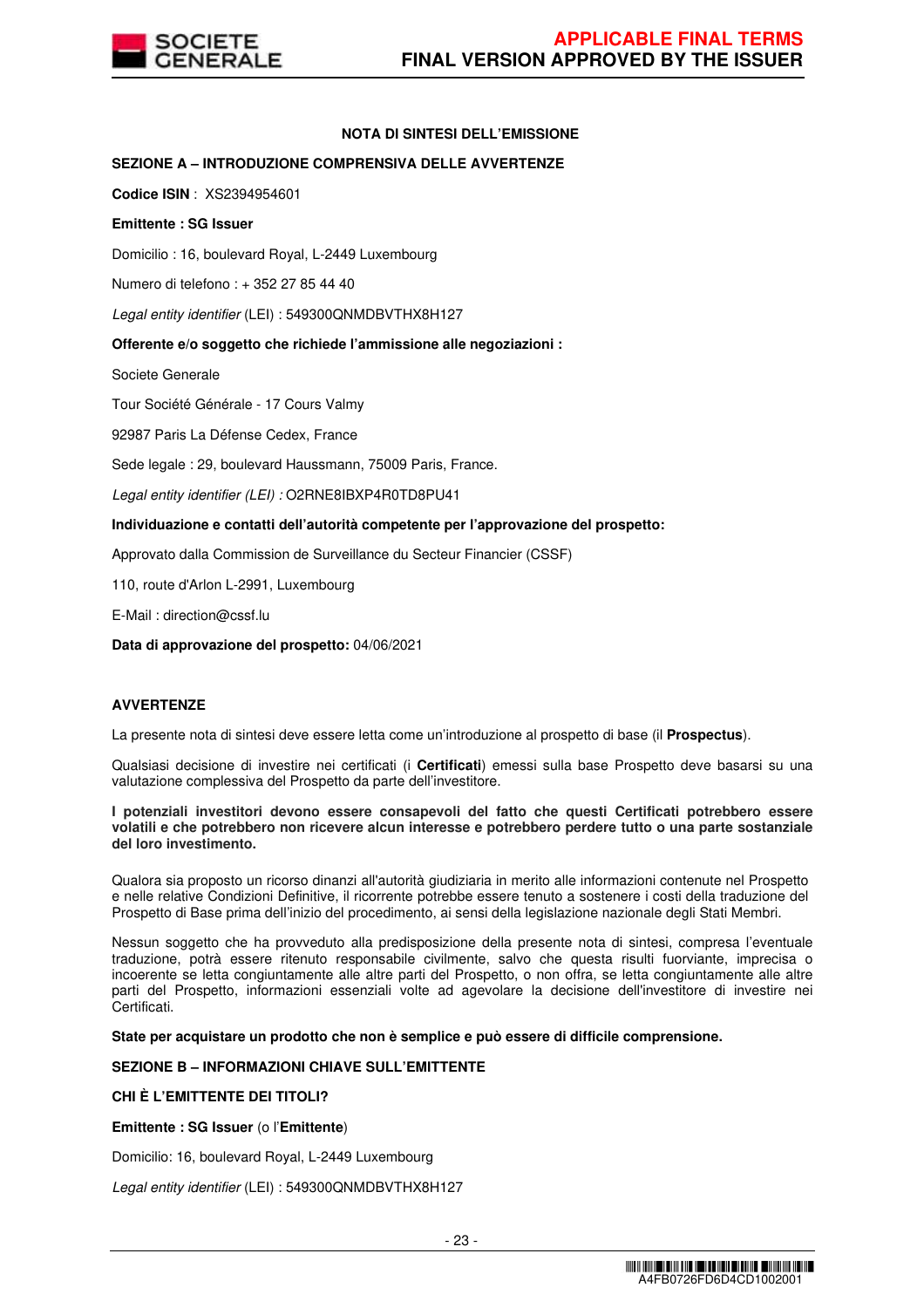

### **NOTA DI SINTESI DELL'EMISSIONE**

### **SEZIONE A – INTRODUZIONE COMPRENSIVA DELLE AVVERTENZE**

**Codice ISIN** : XS2394954601

### **Emittente : SG Issuer**

Domicilio : 16, boulevard Royal, L-2449 Luxembourg

Numero di telefono : + 352 27 85 44 40

Legal entity identifier (LEI) : 549300QNMDBVTHX8H127

### **Offerente e/o soggetto che richiede l'ammissione alle negoziazioni :**

Societe Generale

Tour Société Générale - 17 Cours Valmy

92987 Paris La Défense Cedex, France

Sede legale : 29, boulevard Haussmann, 75009 Paris, France.

Legal entity identifier (LEI) : O2RNE8IBXP4R0TD8PU41

### **Individuazione e contatti dell'autorità competente per l'approvazione del prospetto:**

Approvato dalla Commission de Surveillance du Secteur Financier (CSSF)

110, route d'Arlon L-2991, Luxembourg

E-Mail : direction@cssf.lu

**Data di approvazione del prospetto:** 04/06/2021

### **AVVERTENZE**

La presente nota di sintesi deve essere letta come un'introduzione al prospetto di base (il **Prospectus**).

Qualsiasi decisione di investire nei certificati (i **Certificati**) emessi sulla base Prospetto deve basarsi su una valutazione complessiva del Prospetto da parte dell'investitore.

**I potenziali investitori devono essere consapevoli del fatto che questi Certificati potrebbero essere volatili e che potrebbero non ricevere alcun interesse e potrebbero perdere tutto o una parte sostanziale del loro investimento.** 

Qualora sia proposto un ricorso dinanzi all'autorità giudiziaria in merito alle informazioni contenute nel Prospetto e nelle relative Condizioni Definitive, il ricorrente potrebbe essere tenuto a sostenere i costi della traduzione del Prospetto di Base prima dell'inizio del procedimento, ai sensi della legislazione nazionale degli Stati Membri.

Nessun soggetto che ha provveduto alla predisposizione della presente nota di sintesi, compresa l'eventuale traduzione, potrà essere ritenuto responsabile civilmente, salvo che questa risulti fuorviante, imprecisa o incoerente se letta congiuntamente alle altre parti del Prospetto, o non offra, se letta congiuntamente alle altre parti del Prospetto, informazioni essenziali volte ad agevolare la decisione dell'investitore di investire nei Certificati.

**State per acquistare un prodotto che non è semplice e può essere di difficile comprensione.**

### **SEZIONE B – INFORMAZIONI CHIAVE SULL'EMITTENTE**

# **CHI È L'EMITTENTE DEI TITOLI?**

**Emittente : SG Issuer** (o l'**Emittente**)

Domicilio: 16, boulevard Royal, L-2449 Luxembourg

Legal entity identifier (LEI) : 549300QNMDBVTHX8H127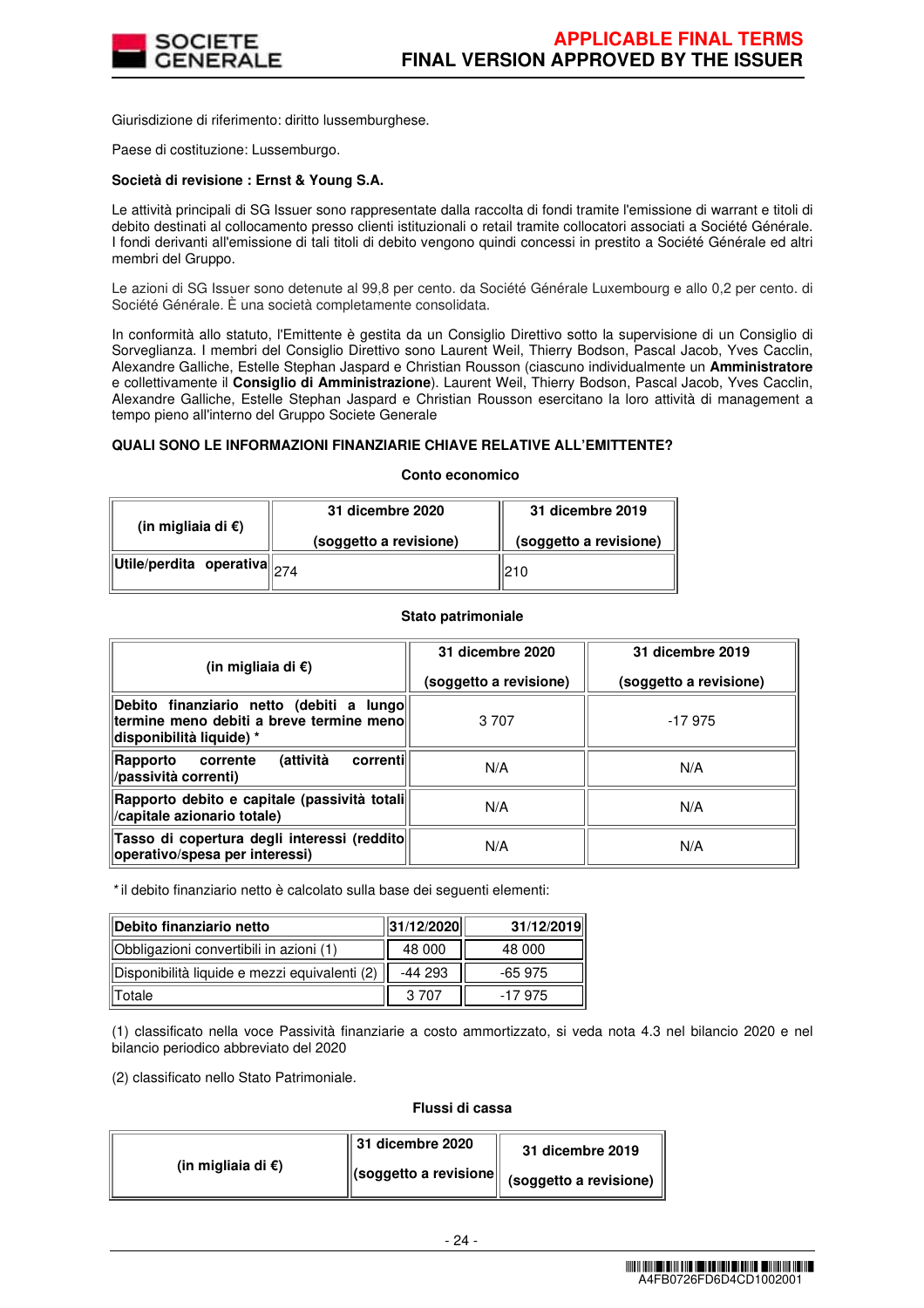

Giurisdizione di riferimento: diritto lussemburghese.

Paese di costituzione: Lussemburgo.

### **Società di revisione : Ernst & Young S.A.**

Le attività principali di SG Issuer sono rappresentate dalla raccolta di fondi tramite l'emissione di warrant e titoli di debito destinati al collocamento presso clienti istituzionali o retail tramite collocatori associati a Société Générale. I fondi derivanti all'emissione di tali titoli di debito vengono quindi concessi in prestito a Société Générale ed altri membri del Gruppo.

Le azioni di SG Issuer sono detenute al 99,8 per cento. da Société Générale Luxembourg e allo 0,2 per cento. di Société Générale. È una società completamente consolidata.

In conformità allo statuto, l'Emittente è gestita da un Consiglio Direttivo sotto la supervisione di un Consiglio di Sorveglianza. I membri del Consiglio Direttivo sono Laurent Weil, Thierry Bodson, Pascal Jacob, Yves Cacclin, Alexandre Galliche, Estelle Stephan Jaspard e Christian Rousson (ciascuno individualmente un **Amministratore**  e collettivamente il **Consiglio di Amministrazione**). Laurent Weil, Thierry Bodson, Pascal Jacob, Yves Cacclin, Alexandre Galliche, Estelle Stephan Jaspard e Christian Rousson esercitano la loro attività di management a tempo pieno all'interno del Gruppo Societe Generale

### **QUALI SONO LE INFORMAZIONI FINANZIARIE CHIAVE RELATIVE ALL'EMITTENTE?**

#### **Conto economico**

| (in migliaia di $\epsilon$ )                                                                       | 31 dicembre 2020       | 31 dicembre 2019       |
|----------------------------------------------------------------------------------------------------|------------------------|------------------------|
|                                                                                                    | (soggetto a revisione) | (soggetto a revisione) |
| $\left\Vert \mathsf{Utile}/\mathsf{perdita} \right\Vert$ operativa $\left\Vert _{274} \right\Vert$ |                        | 210                    |

### **Stato patrimoniale**

| (in migliaia di €)                                                                                               | 31 dicembre 2020<br>(soggetto a revisione) | 31 dicembre 2019<br>(soggetto a revisione) |  |
|------------------------------------------------------------------------------------------------------------------|--------------------------------------------|--------------------------------------------|--|
| Debito finanziario netto (debiti a lungo<br>termine meno debiti a breve termine meno<br>disponibilità liquide) * | 3 7 0 7                                    | $-17975$                                   |  |
| (attività<br>correntil<br>Rapporto<br>corrente<br>/passività correnti)                                           | N/A                                        | N/A                                        |  |
| Rapporto debito e capitale (passività totali <br>/capitale azionario totale)                                     | N/A                                        | N/A                                        |  |
| Tasso di copertura degli interessi (reddito<br>operativo/spesa per interessi)                                    | N/A                                        | N/A                                        |  |

\* il debito finanziario netto è calcolato sulla base dei seguenti elementi:

| Debito finanziario netto                      | 31/12/2020 | 31/12/2019 |
|-----------------------------------------------|------------|------------|
| Obbligazioni convertibili in azioni (1)       | 48 000     | 48 000     |
| Disponibilità liquide e mezzi equivalenti (2) | -44 293    | $-65975$   |
| Totale                                        | 3.707      | -17 975    |

(1) classificato nella voce Passività finanziarie a costo ammortizzato, si veda nota 4.3 nel bilancio 2020 e nel bilancio periodico abbreviato del 2020

(2) classificato nello Stato Patrimoniale.

### **Flussi di cassa**

|                              | $\parallel$ 31 dicembre 2020 | 31 dicembre 2019                                                                                        |
|------------------------------|------------------------------|---------------------------------------------------------------------------------------------------------|
| (in migliaia di $\epsilon$ ) |                              | $\left\  \text{(soggetto a revisione} \right\  \text{ (soggetto a revisione) } \ ^{\shortmid \text{ }}$ |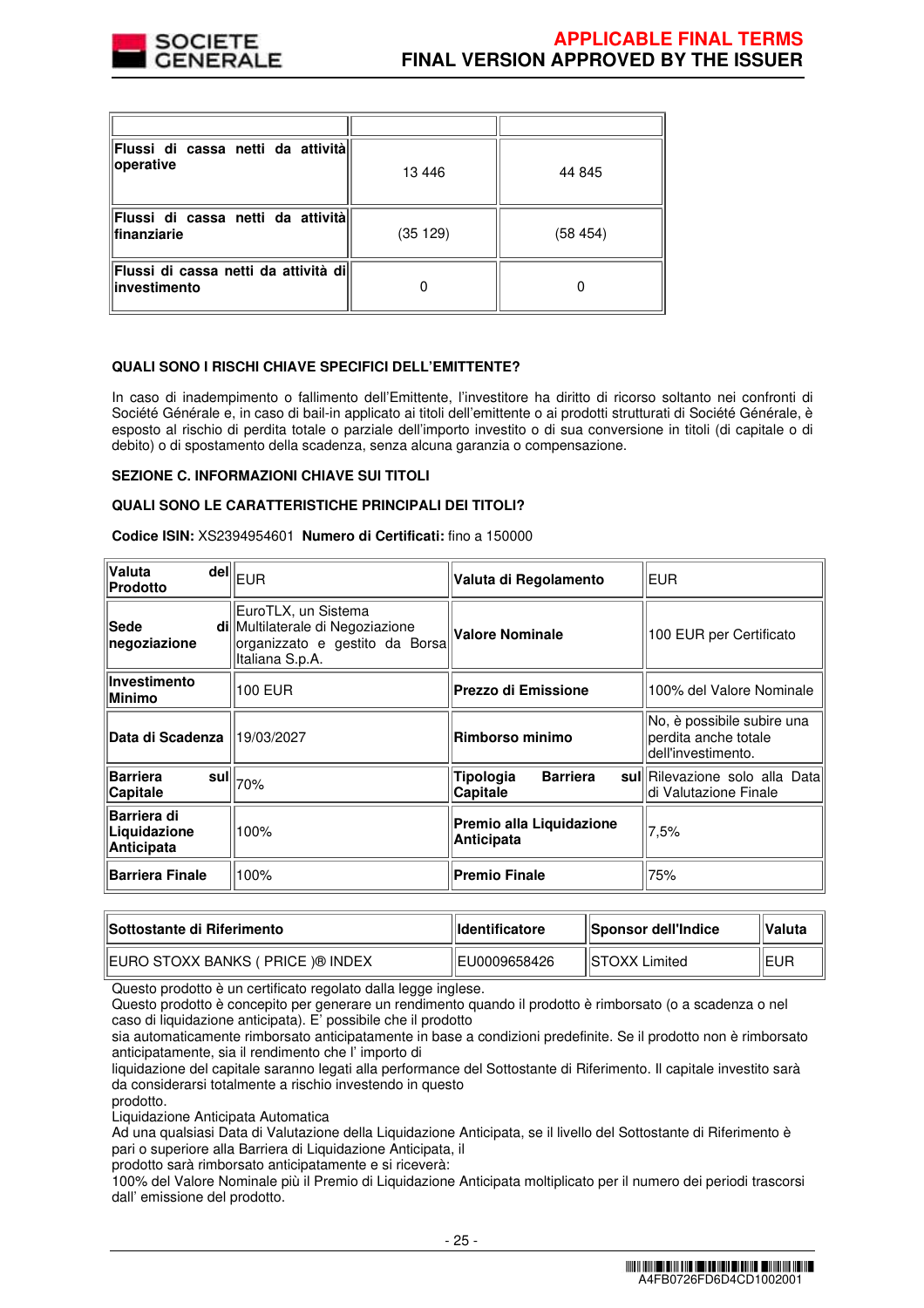

| Flussi di cassa netti da attività<br>operative                 | 13446    | 44 845  |
|----------------------------------------------------------------|----------|---------|
| Flussi di cassa netti da attività<br>finanziarie               | (35 129) | (58454) |
| Flussi di cassa netti da attività dill<br><b>linvestimento</b> |          |         |

# **QUALI SONO I RISCHI CHIAVE SPECIFICI DELL'EMITTENTE?**

In caso di inadempimento o fallimento dell'Emittente, l'investitore ha diritto di ricorso soltanto nei confronti di Société Générale e, in caso di bail-in applicato ai titoli dell'emittente o ai prodotti strutturati di Société Générale, è esposto al rischio di perdita totale o parziale dell'importo investito o di sua conversione in titoli (di capitale o di debito) o di spostamento della scadenza, senza alcuna garanzia o compensazione.

### **SEZIONE C. INFORMAZIONI CHIAVE SUI TITOLI**

### **QUALI SONO LE CARATTERISTICHE PRINCIPALI DEI TITOLI?**

**Codice ISIN:** XS2394954601 **Numero di Certificati:** fino a 150000

| Valuta<br>Prodotto                        | $\bar{\mathsf{del}}\vert\vert_{\mathsf{EUR}}$                                                                | Valuta di Regolamento                           | EUR                                                                       |  |
|-------------------------------------------|--------------------------------------------------------------------------------------------------------------|-------------------------------------------------|---------------------------------------------------------------------------|--|
| <b>Sede</b><br>negoziazione               | EuroTLX, un Sistema<br>di Multilaterale di Negoziazione<br>organizzato e gestito da Borsa<br>Italiana S.p.A. | <b>Valore Nominale</b>                          | 100 EUR per Certificato                                                   |  |
| Investimento<br>Minimo                    | 100 EUR                                                                                                      | <b>Prezzo di Emissione</b>                      | 100% del Valore Nominale                                                  |  |
| Data di Scadenza   19/03/2027             |                                                                                                              | Rimborso minimo                                 | No, è possibile subire una<br>perdita anche totale<br>ldell'investimento. |  |
| <b>Barriera</b><br>Capitale               | $\bar{\bf s}$ ul $\left\  \vphantom{\hat{\bf s}}_{70\%}\right\ $                                             | Tipologia<br><b>Barriera</b><br><b>Capitale</b> | sul Rilevazione solo alla Data<br>di Valutazione Finale                   |  |
| Barriera di<br>Liquidazione<br>Anticipata | 100%                                                                                                         | Premio alla Liquidazione<br><b>Anticipata</b>   | 7,5%                                                                      |  |
| <b>Barriera Finale</b>                    | 100%                                                                                                         | <b>Premio Finale</b>                            | 75%                                                                       |  |

| <b>Sottostante di Riferimento</b>  | <b>Ildentificatore</b> | <b>Sponsor dell'Indice</b> | <b>Valuta</b> |
|------------------------------------|------------------------|----------------------------|---------------|
| IEURO STOXX BANKS ( PRICE )® INDEX | IIEU0009658426         | <b>ISTOXX Limited</b>      | .IEUR         |

Questo prodotto è un certificato regolato dalla legge inglese.

Questo prodotto è concepito per generare un rendimento quando il prodotto è rimborsato (o a scadenza o nel caso di liquidazione anticipata). E' possibile che il prodotto

liquidazione del capitale saranno legati alla performance del Sottostante di Riferimento. Il capitale investito sarà da considerarsi totalmente a rischio investendo in questo

prodotto. Liquidazione Anticipata Automatica

Ad una qualsiasi Data di Valutazione della Liquidazione Anticipata, se il livello del Sottostante di Riferimento è pari o superiore alla Barriera di Liquidazione Anticipata, il

prodotto sarà rimborsato anticipatamente e si riceverà:

100% del Valore Nominale più il Premio di Liquidazione Anticipata moltiplicato per il numero dei periodi trascorsi dall' emissione del prodotto.

sia automaticamente rimborsato anticipatamente in base a condizioni predefinite. Se il prodotto non è rimborsato anticipatamente, sia il rendimento che l' importo di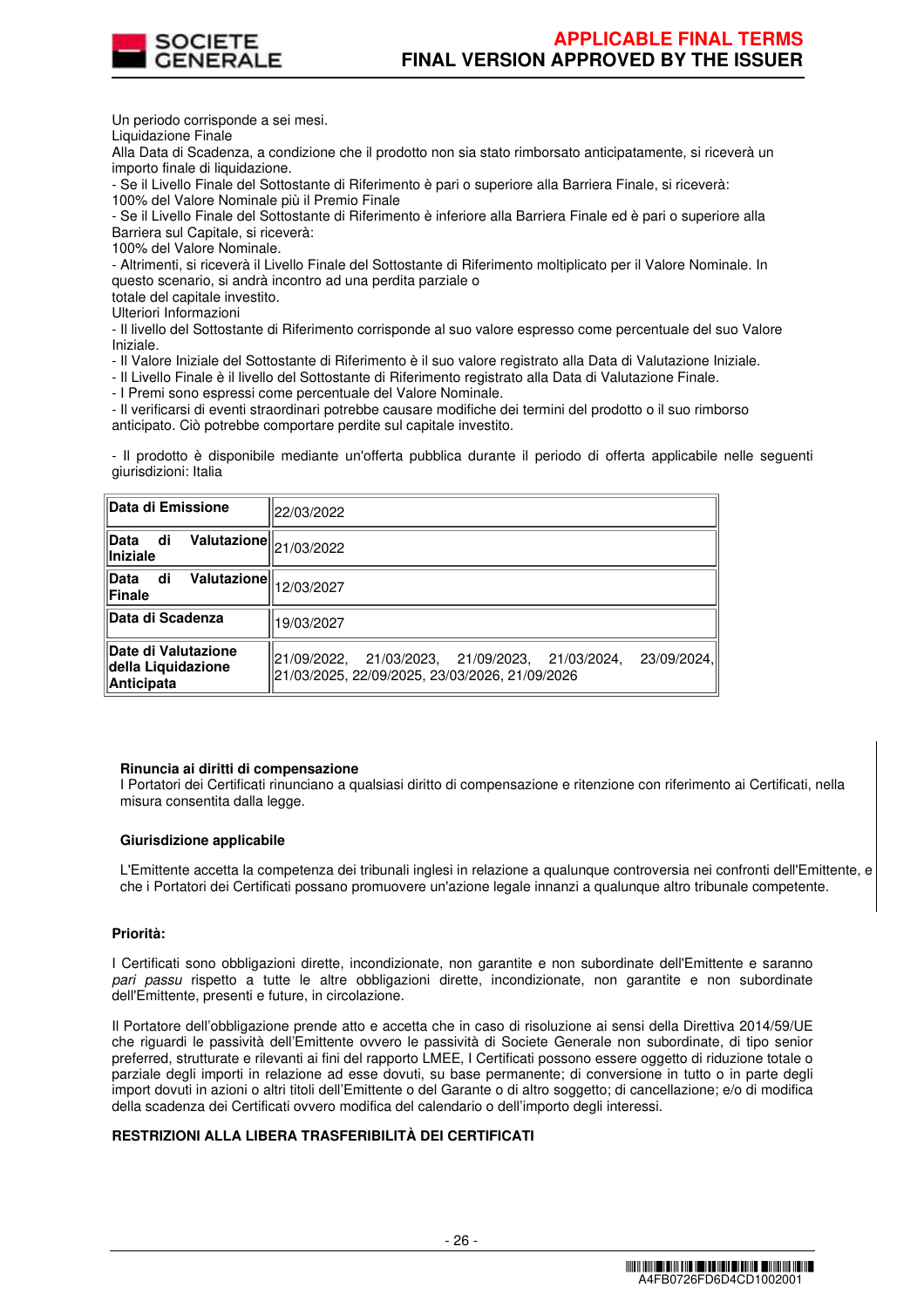

Un periodo corrisponde a sei mesi.

Liquidazione Finale

Alla Data di Scadenza, a condizione che il prodotto non sia stato rimborsato anticipatamente, si riceverà un importo finale di liquidazione.

- Se il Livello Finale del Sottostante di Riferimento è pari o superiore alla Barriera Finale, si riceverà: 100% del Valore Nominale più il Premio Finale

- Se il Livello Finale del Sottostante di Riferimento è inferiore alla Barriera Finale ed è pari o superiore alla Barriera sul Capitale, si riceverà:

100% del Valore Nominale.

- Altrimenti, si riceverà il Livello Finale del Sottostante di Riferimento moltiplicato per il Valore Nominale. In questo scenario, si andrà incontro ad una perdita parziale o

totale del capitale investito.

Ulteriori Informazioni

- Il livello del Sottostante di Riferimento corrisponde al suo valore espresso come percentuale del suo Valore Iniziale.

- Il Valore Iniziale del Sottostante di Riferimento è il suo valore registrato alla Data di Valutazione Iniziale.

- Il Livello Finale è il livello del Sottostante di Riferimento registrato alla Data di Valutazione Finale.

- I Premi sono espressi come percentuale del Valore Nominale.

- Il verificarsi di eventi straordinari potrebbe causare modifiche dei termini del prodotto o il suo rimborso anticipato. Ciò potrebbe comportare perdite sul capitale investito.

- Il prodotto è disponibile mediante un'offerta pubblica durante il periodo di offerta applicabile nelle seguenti giurisdizioni: Italia

| Data di Emissione                                                               | 22/03/2022                                                                                                       |
|---------------------------------------------------------------------------------|------------------------------------------------------------------------------------------------------------------|
| $\overline{\text{Valutazione}}\ _{21/03/2022}$<br>di<br>Data<br><b>Iniziale</b> |                                                                                                                  |
| Valutazione<br>di<br>Data<br>Finale                                             | 12/03/2027                                                                                                       |
| Data di Scadenza                                                                | 19/03/2027                                                                                                       |
| Date di Valutazione<br>della Liguidazione<br>Anticipata                         | 21/09/2022, 21/03/2023, 21/09/2023, 21/03/2024,<br>23/09/2024,<br>21/03/2025, 22/09/2025, 23/03/2026, 21/09/2026 |

### **Rinuncia ai diritti di compensazione**

I Portatori dei Certificati rinunciano a qualsiasi diritto di compensazione e ritenzione con riferimento ai Certificati, nella misura consentita dalla legge.

### **Giurisdizione applicabile**

L'Emittente accetta la competenza dei tribunali inglesi in relazione a qualunque controversia nei confronti dell'Emittente, e che i Portatori dei Certificati possano promuovere un'azione legale innanzi a qualunque altro tribunale competente.

### **Priorità:**

I Certificati sono obbligazioni dirette, incondizionate, non garantite e non subordinate dell'Emittente e saranno pari passu rispetto a tutte le altre obbligazioni dirette, incondizionate, non garantite e non subordinate dell'Emittente, presenti e future, in circolazione.

Il Portatore dell'obbligazione prende atto e accetta che in caso di risoluzione ai sensi della Direttiva 2014/59/UE che riguardi le passività dell'Emittente ovvero le passività di Societe Generale non subordinate, di tipo senior preferred, strutturate e rilevanti ai fini del rapporto LMEE, I Certificati possono essere oggetto di riduzione totale o parziale degli importi in relazione ad esse dovuti, su base permanente; di conversione in tutto o in parte degli import dovuti in azioni o altri titoli dell'Emittente o del Garante o di altro soggetto; di cancellazione; e/o di modifica della scadenza dei Certificati ovvero modifica del calendario o dell'importo degli interessi.

### **RESTRIZIONI ALLA LIBERA TRASFERIBILITÀ DEI CERTIFICATI**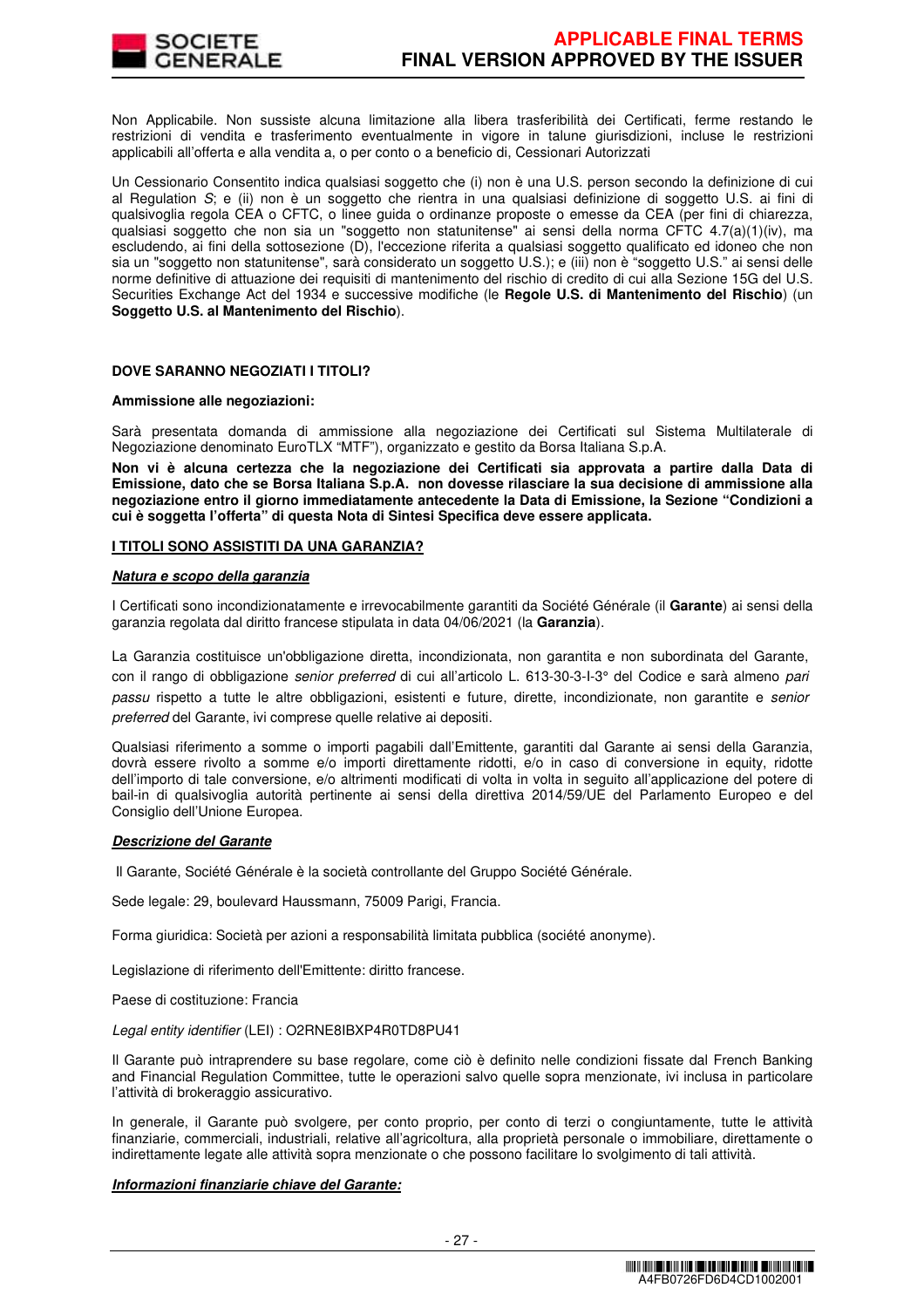

Non Applicabile. Non sussiste alcuna limitazione alla libera trasferibilità dei Certificati, ferme restando le restrizioni di vendita e trasferimento eventualmente in vigore in talune giurisdizioni, incluse le restrizioni applicabili all'offerta e alla vendita a, o per conto o a beneficio di, Cessionari Autorizzati

Un Cessionario Consentito indica qualsiasi soggetto che (i) non è una U.S. person secondo la definizione di cui al Regulation S; e (ii) non è un soggetto che rientra in una qualsiasi definizione di soggetto U.S. ai fini di qualsivoglia regola CEA o CFTC, o linee guida o ordinanze proposte o emesse da CEA (per fini di chiarezza, qualsiasi soggetto che non sia un "soggetto non statunitense" ai sensi della norma CFTC 4.7(a)(1)(iv), ma escludendo, ai fini della sottosezione (D), l'eccezione riferita a qualsiasi soggetto qualificato ed idoneo che non sia un "soggetto non statunitense", sarà considerato un soggetto U.S.); e (iii) non è "soggetto U.S." ai sensi delle norme definitive di attuazione dei requisiti di mantenimento del rischio di credito di cui alla Sezione 15G del U.S. Securities Exchange Act del 1934 e successive modifiche (le **Regole U.S. di Mantenimento del Rischio**) (un **Soggetto U.S. al Mantenimento del Rischio**).

### **DOVE SARANNO NEGOZIATI I TITOLI?**

### **Ammissione alle negoziazioni:**

Sarà presentata domanda di ammissione alla negoziazione dei Certificati sul Sistema Multilaterale di Negoziazione denominato EuroTLX "MTF"), organizzato e gestito da Borsa Italiana S.p.A.

**Non vi è alcuna certezza che la negoziazione dei Certificati sia approvata a partire dalla Data di Emissione, dato che se Borsa Italiana S.p.A. non dovesse rilasciare la sua decisione di ammissione alla negoziazione entro il giorno immediatamente antecedente la Data di Emissione, la Sezione "Condizioni a cui è soggetta l'offerta" di questa Nota di Sintesi Specifica deve essere applicata.** 

### **I TITOLI SONO ASSISTITI DA UNA GARANZIA?**

### **Natura e scopo della garanzia**

I Certificati sono incondizionatamente e irrevocabilmente garantiti da Société Générale (il **Garante**) ai sensi della garanzia regolata dal diritto francese stipulata in data 04/06/2021 (la **Garanzia**).

La Garanzia costituisce un'obbligazione diretta, incondizionata, non garantita e non subordinata del Garante, con il rango di obbligazione senior preferred di cui all'articolo L. 613-30-3-I-3° del Codice e sarà almeno pari passu rispetto a tutte le altre obbligazioni, esistenti e future, dirette, incondizionate, non garantite e senior preferred del Garante, ivi comprese quelle relative ai depositi.

Qualsiasi riferimento a somme o importi pagabili dall'Emittente, garantiti dal Garante ai sensi della Garanzia, dovrà essere rivolto a somme e/o importi direttamente ridotti, e/o in caso di conversione in equity, ridotte dell'importo di tale conversione, e/o altrimenti modificati di volta in volta in seguito all'applicazione del potere di bail-in di qualsivoglia autorità pertinente ai sensi della direttiva 2014/59/UE del Parlamento Europeo e del Consiglio dell'Unione Europea.

### **Descrizione del Garante**

Il Garante, Société Générale è la società controllante del Gruppo Société Générale.

Sede legale: 29, boulevard Haussmann, 75009 Parigi, Francia.

Forma giuridica: Società per azioni a responsabilità limitata pubblica (société anonyme).

Legislazione di riferimento dell'Emittente: diritto francese.

Paese di costituzione: Francia

#### Legal entity identifier (LEI) : O2RNE8IBXP4R0TD8PU41

Il Garante può intraprendere su base regolare, come ciò è definito nelle condizioni fissate dal French Banking and Financial Regulation Committee, tutte le operazioni salvo quelle sopra menzionate, ivi inclusa in particolare l'attività di brokeraggio assicurativo.

In generale, il Garante può svolgere, per conto proprio, per conto di terzi o congiuntamente, tutte le attività finanziarie, commerciali, industriali, relative all'agricoltura, alla proprietà personale o immobiliare, direttamente o indirettamente legate alle attività sopra menzionate o che possono facilitare lo svolgimento di tali attività.

### **Informazioni finanziarie chiave del Garante:**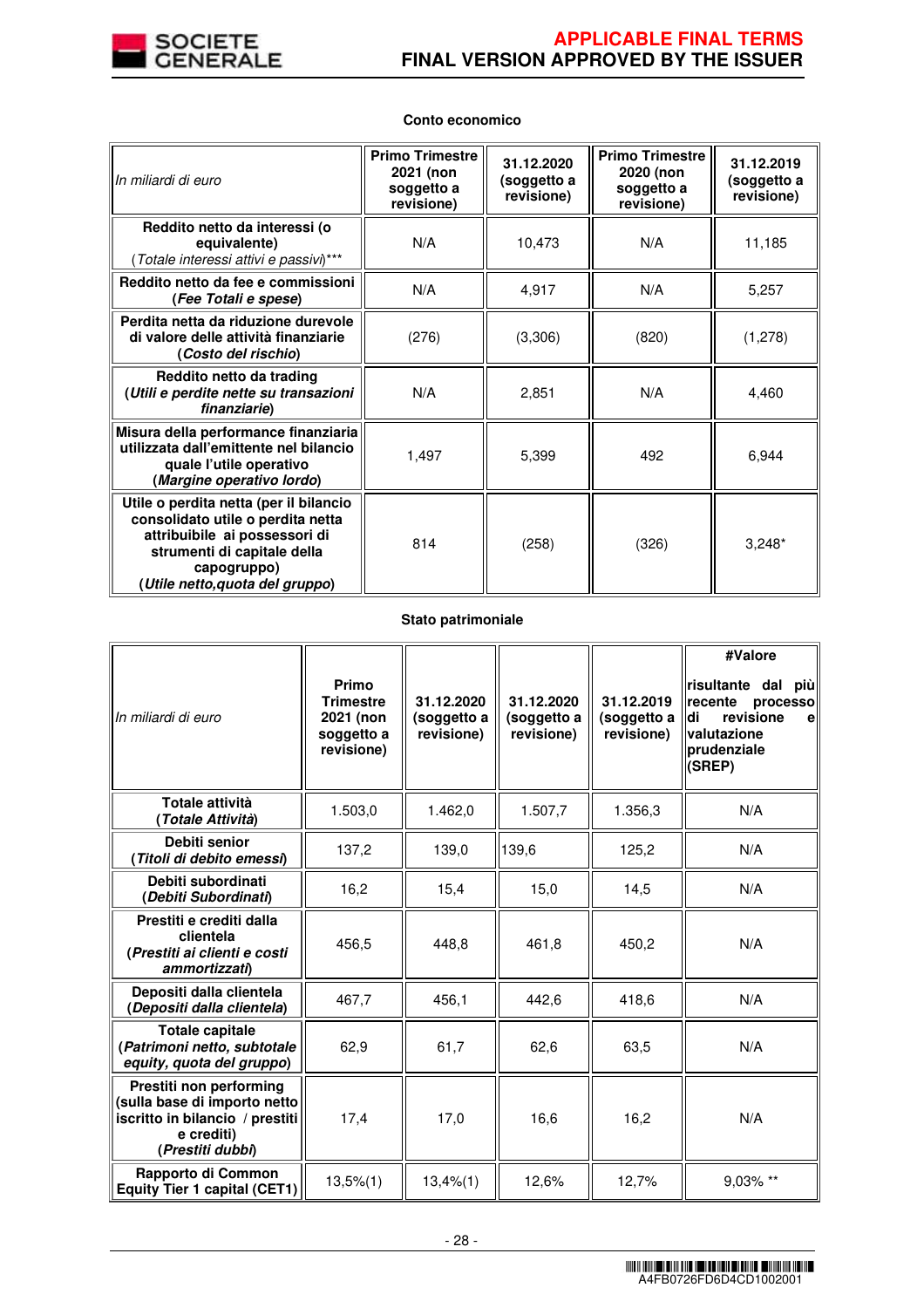

| In miliardi di euro                                                                                                                                                                          | <b>Primo Trimestre</b><br>2021 (non<br>soggetto a<br>revisione) | 31.12.2020<br>(soggetto a<br>revisione) | <b>Primo Trimestre</b><br>2020 (non<br>soggetto a<br>revisione) | 31.12.2019<br>(soggetto a<br>revisione) |
|----------------------------------------------------------------------------------------------------------------------------------------------------------------------------------------------|-----------------------------------------------------------------|-----------------------------------------|-----------------------------------------------------------------|-----------------------------------------|
| Reddito netto da interessi (o<br>equivalente)<br>(Totale interessi attivi e passivi)***                                                                                                      | N/A                                                             | 10,473                                  | N/A                                                             | 11,185                                  |
| Reddito netto da fee e commissioni<br>(Fee Totali e spese)                                                                                                                                   | N/A                                                             | 4,917                                   | N/A                                                             | 5,257                                   |
| Perdita netta da riduzione durevole<br>di valore delle attività finanziarie<br>(Costo del rischio)                                                                                           | (276)                                                           | (3,306)                                 | (820)                                                           | (1,278)                                 |
| Reddito netto da trading<br>(Utili e perdite nette su transazioni<br>finanziarie)                                                                                                            | N/A                                                             | 2,851                                   | N/A                                                             | 4,460                                   |
| Misura della performance finanziaria<br>utilizzata dall'emittente nel bilancio<br>quale l'utile operativo<br>(Margine operativo lordo)                                                       | 1,497                                                           | 5,399                                   | 492                                                             | 6,944                                   |
| Utile o perdita netta (per il bilancio<br>consolidato utile o perdita netta<br>attribuibile ai possessori di<br>strumenti di capitale della<br>capogruppo)<br>(Utile netto,quota del gruppo) | 814                                                             | (258)                                   | (326)                                                           | $3,248*$                                |

# **Conto economico**

# **Stato patrimoniale**

| In miliardi di euro                                                                                                          | Primo<br><b>Trimestre</b><br>2021 (non<br>soggetto a<br>revisione) | 31.12.2020<br>(soggetto a<br>revisione) | 31.12.2020<br>(soggetto a<br>revisione) | 31.12.2019<br>(soggetto a<br>revisione) | #Valore<br>risultante dal più<br>recente<br>processo<br>revisione<br>di<br>e<br>valutazione<br>prudenziale<br>(SREP) |
|------------------------------------------------------------------------------------------------------------------------------|--------------------------------------------------------------------|-----------------------------------------|-----------------------------------------|-----------------------------------------|----------------------------------------------------------------------------------------------------------------------|
| Totale attività<br>Totale Attività)                                                                                          | 1.503,0                                                            | 1.462,0                                 | 1.507,7                                 | 1.356,3                                 | N/A                                                                                                                  |
| Debiti senior<br>(Titoli di debito emessi)                                                                                   | 137,2                                                              | 139,0                                   | 139,6                                   | 125,2                                   | N/A                                                                                                                  |
| Debiti subordinati<br>(Debiti Subordinati)                                                                                   | 16,2                                                               | 15,4                                    | 15,0                                    | 14,5                                    | N/A                                                                                                                  |
| Prestiti e crediti dalla<br>clientela<br>(Prestiti ai clienti e costi<br>ammortizzati)                                       | 456,5                                                              | 448,8                                   | 461,8                                   | 450,2                                   | N/A                                                                                                                  |
| Depositi dalla clientela<br>(Depositi dalla clientela)                                                                       | 467,7                                                              | 456,1                                   | 442,6                                   | 418,6                                   | N/A                                                                                                                  |
| <b>Totale capitale</b><br>(Patrimoni netto, subtotale<br>equity, quota del gruppo)                                           | 62,9                                                               | 61,7                                    | 62,6                                    | 63,5                                    | N/A                                                                                                                  |
| Prestiti non performing<br>(sulla base di importo netto<br>iscritto in bilancio / prestiti<br>e crediti)<br>(Prestiti dubbi) | 17,4                                                               | 17,0                                    | 16,6                                    | 16,2                                    | N/A                                                                                                                  |
| Rapporto di Common<br><b>Equity Tier 1 capital (CET1)</b>                                                                    | $13,5\%$ $(1)$                                                     | 13,4%(1)                                | 12,6%                                   | 12,7%                                   | 9.03% **                                                                                                             |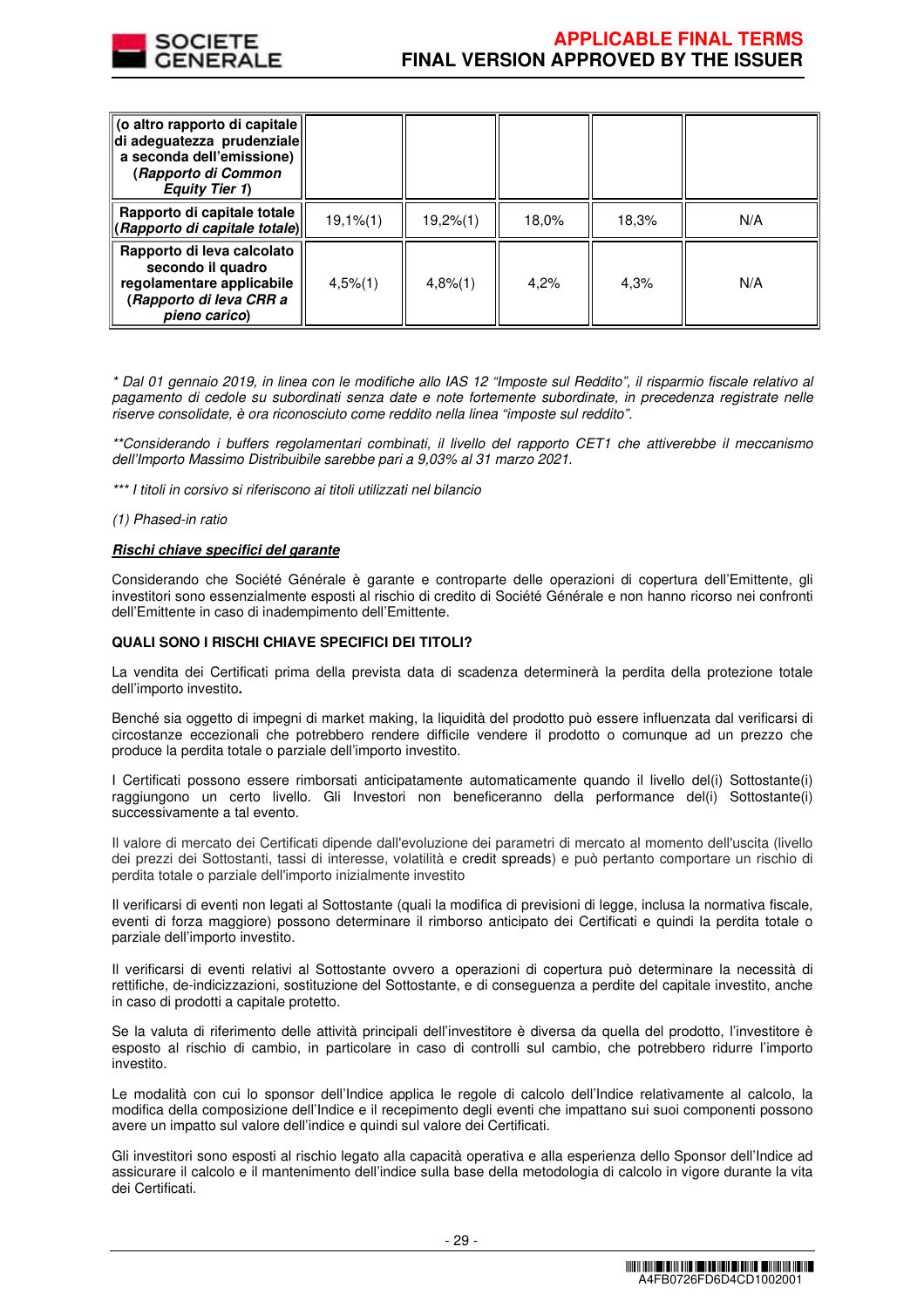

| (o altro rapporto di capitale)<br>di adeguatezza prudenziale<br>a seconda dell'emissione)<br>(Rapporto di Common<br><b>Equity Tier 1)</b> |             |          |       |       |     |
|-------------------------------------------------------------------------------------------------------------------------------------------|-------------|----------|-------|-------|-----|
| Rapporto di capitale totale<br>(Rapporto di capitale totale)                                                                              | $19,1%$ (1) | 19,2%(1) | 18,0% | 18,3% | N/A |
| Rapporto di leva calcolato<br>secondo il quadro<br>regolamentare applicabile<br>(Rapporto di leva CRR a<br>pieno carico)                  | $4,5\%$ (1) | 4,8%(1)  | 4.2%  | 4.3%  | N/A |

\* Dal 01 gennaio 2019, in linea con le modifiche allo IAS 12 "Imposte sul Reddito", il risparmio fiscale relativo al pagamento di cedole su subordinati senza date e note fortemente subordinate, in precedenza registrate nelle riserve consolidate, è ora riconosciuto come reddito nella linea "imposte sul reddito".

\*\*Considerando i buffers regolamentari combinati, il livello del rapporto CET1 che attiverebbe il meccanismo dell'Importo Massimo Distribuibile sarebbe pari a 9,03% al 31 marzo 2021.

\*\*\* I titoli in corsivo si riferiscono ai titoli utilizzati nel bilancio

(1) Phased-in ratio

### **Rischi chiave specifici del garante**

Considerando che Société Générale è garante e controparte delle operazioni di copertura dell'Emittente, gli investitori sono essenzialmente esposti al rischio di credito di Société Générale e non hanno ricorso nei confronti dell'Emittente in caso di inadempimento dell'Emittente.

### **QUALI SONO I RISCHI CHIAVE SPECIFICI DEI TITOLI?**

La vendita dei Certificati prima della prevista data di scadenza determinerà la perdita della protezione totale dell'importo investito**.**

Benché sia oggetto di impegni di market making, la liquidità del prodotto può essere influenzata dal verificarsi di circostanze eccezionali che potrebbero rendere difficile vendere il prodotto o comunque ad un prezzo che produce la perdita totale o parziale dell'importo investito.

I Certificati possono essere rimborsati anticipatamente automaticamente quando il livello del(i) Sottostante(i) raggiungono un certo livello. Gli Investori non beneficeranno della performance del(i) Sottostante(i) successivamente a tal evento.

Il valore di mercato dei Certificati dipende dall'evoluzione dei parametri di mercato al momento dell'uscita (livello dei prezzi dei Sottostanti, tassi di interesse, volatilità e credit spreads) e può pertanto comportare un rischio di perdita totale o parziale dell'importo inizialmente investito

Il verificarsi di eventi non legati al Sottostante (quali la modifica di previsioni di legge, inclusa la normativa fiscale, eventi di forza maggiore) possono determinare il rimborso anticipato dei Certificati e quindi la perdita totale o parziale dell'importo investito.

Il verificarsi di eventi relativi al Sottostante ovvero a operazioni di copertura può determinare la necessità di rettifiche, de-indicizzazioni, sostituzione del Sottostante, e di conseguenza a perdite del capitale investito, anche in caso di prodotti a capitale protetto.

Se la valuta di riferimento delle attività principali dell'investitore è diversa da quella del prodotto, l'investitore è esposto al rischio di cambio, in particolare in caso di controlli sul cambio, che potrebbero ridurre l'importo investito.

Le modalità con cui lo sponsor dell'Indice applica le regole di calcolo dell'Indice relativamente al calcolo, la modifica della composizione dell'Indice e il recepimento degli eventi che impattano sui suoi componenti possono avere un impatto sul valore dell'indice e quindi sul valore dei Certificati.

Gli investitori sono esposti al rischio legato alla capacità operativa e alla esperienza dello Sponsor dell'Indice ad assicurare il calcolo e il mantenimento dell'indice sulla base della metodologia di calcolo in vigore durante la vita dei Certificati.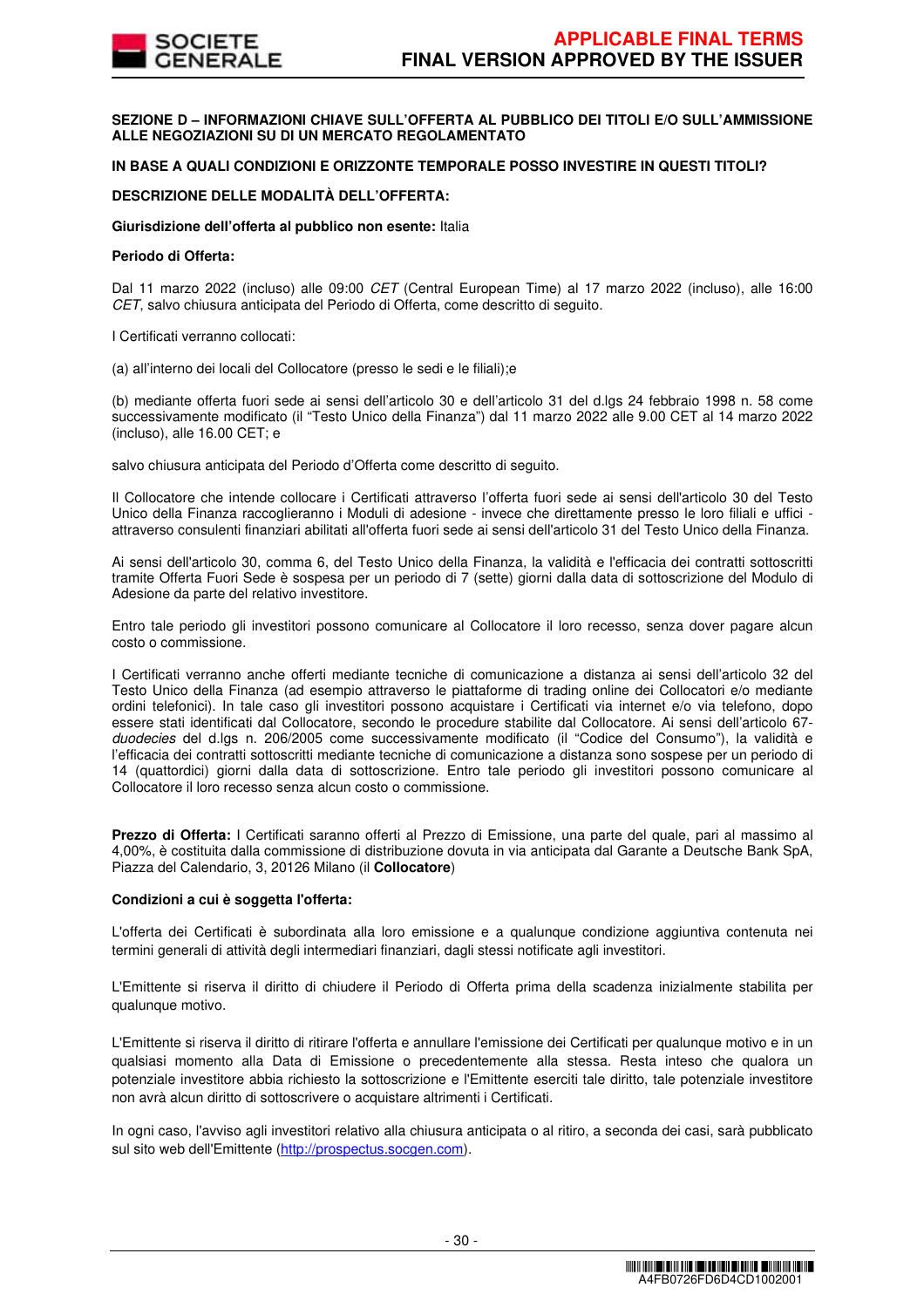**SEZIONE D – INFORMAZIONI CHIAVE SULL'OFFERTA AL PUBBLICO DEI TITOLI E/O SULL'AMMISSIONE ALLE NEGOZIAZIONI SU DI UN MERCATO REGOLAMENTATO**

### **IN BASE A QUALI CONDIZIONI E ORIZZONTE TEMPORALE POSSO INVESTIRE IN QUESTI TITOLI?**

### **DESCRIZIONE DELLE MODALITÀ DELL'OFFERTA:**

**Giurisdizione dell'offerta al pubblico non esente:** Italia

#### **Periodo di Offerta:**

Dal 11 marzo 2022 (incluso) alle 09:00 CET (Central European Time) al 17 marzo 2022 (incluso), alle 16:00 CET, salvo chiusura anticipata del Periodo di Offerta, come descritto di seguito.

I Certificati verranno collocati:

(a) all'interno dei locali del Collocatore (presso le sedi e le filiali);e

(b) mediante offerta fuori sede ai sensi dell'articolo 30 e dell'articolo 31 del d.lgs 24 febbraio 1998 n. 58 come successivamente modificato (il "Testo Unico della Finanza") dal 11 marzo 2022 alle 9.00 CET al 14 marzo 2022 (incluso), alle 16.00 CET; e

salvo chiusura anticipata del Periodo d'Offerta come descritto di seguito.

Il Collocatore che intende collocare i Certificati attraverso l'offerta fuori sede ai sensi dell'articolo 30 del Testo Unico della Finanza raccoglieranno i Moduli di adesione - invece che direttamente presso le loro filiali e uffici attraverso consulenti finanziari abilitati all'offerta fuori sede ai sensi dell'articolo 31 del Testo Unico della Finanza.

Ai sensi dell'articolo 30, comma 6, del Testo Unico della Finanza, la validità e l'efficacia dei contratti sottoscritti tramite Offerta Fuori Sede è sospesa per un periodo di 7 (sette) giorni dalla data di sottoscrizione del Modulo di Adesione da parte del relativo investitore.

Entro tale periodo gli investitori possono comunicare al Collocatore il loro recesso, senza dover pagare alcun costo o commissione.

I Certificati verranno anche offerti mediante tecniche di comunicazione a distanza ai sensi dell'articolo 32 del Testo Unico della Finanza (ad esempio attraverso le piattaforme di trading online dei Collocatori e/o mediante ordini telefonici). In tale caso gli investitori possono acquistare i Certificati via internet e/o via telefono, dopo essere stati identificati dal Collocatore, secondo le procedure stabilite dal Collocatore. Ai sensi dell'articolo 67 duodecies del d.lgs n. 206/2005 come successivamente modificato (il "Codice del Consumo"), la validità e l'efficacia dei contratti sottoscritti mediante tecniche di comunicazione a distanza sono sospese per un periodo di 14 (quattordici) giorni dalla data di sottoscrizione. Entro tale periodo gli investitori possono comunicare al Collocatore il loro recesso senza alcun costo o commissione.

**Prezzo di Offerta:** I Certificati saranno offerti al Prezzo di Emissione, una parte del quale, pari al massimo al 4,00%, è costituita dalla commissione di distribuzione dovuta in via anticipata dal Garante a Deutsche Bank SpA, Piazza del Calendario, 3, 20126 Milano (il **Collocatore**)

### **Condizioni a cui è soggetta l'offerta:**

L'offerta dei Certificati è subordinata alla loro emissione e a qualunque condizione aggiuntiva contenuta nei termini generali di attività degli intermediari finanziari, dagli stessi notificate agli investitori.

L'Emittente si riserva il diritto di chiudere il Periodo di Offerta prima della scadenza inizialmente stabilita per qualunque motivo.

L'Emittente si riserva il diritto di ritirare l'offerta e annullare l'emissione dei Certificati per qualunque motivo e in un qualsiasi momento alla Data di Emissione o precedentemente alla stessa. Resta inteso che qualora un potenziale investitore abbia richiesto la sottoscrizione e l'Emittente eserciti tale diritto, tale potenziale investitore non avrà alcun diritto di sottoscrivere o acquistare altrimenti i Certificati.

In ogni caso, l'avviso agli investitori relativo alla chiusura anticipata o al ritiro, a seconda dei casi, sarà pubblicato sul sito web dell'Emittente (http://prospectus.socgen.com).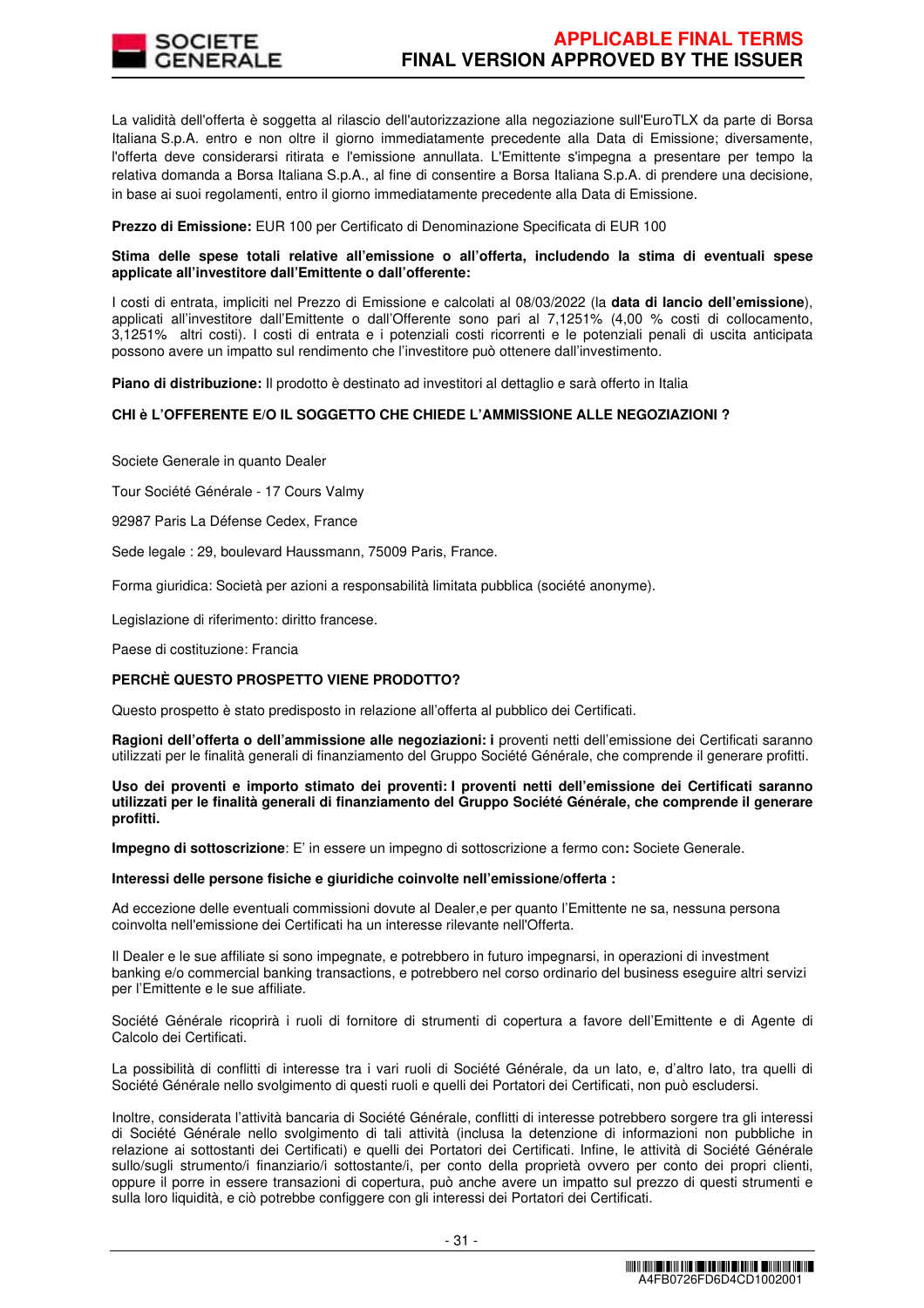

La validità dell'offerta è soggetta al rilascio dell'autorizzazione alla negoziazione sull'EuroTLX da parte di Borsa Italiana S.p.A. entro e non oltre il giorno immediatamente precedente alla Data di Emissione; diversamente, l'offerta deve considerarsi ritirata e l'emissione annullata. L'Emittente s'impegna a presentare per tempo la relativa domanda a Borsa Italiana S.p.A., al fine di consentire a Borsa Italiana S.p.A. di prendere una decisione, in base ai suoi regolamenti, entro il giorno immediatamente precedente alla Data di Emissione.

**Prezzo di Emissione:** EUR 100 per Certificato di Denominazione Specificata di EUR 100

### **Stima delle spese totali relative all'emissione o all'offerta, includendo la stima di eventuali spese applicate all'investitore dall'Emittente o dall'offerente:**

I costi di entrata, impliciti nel Prezzo di Emissione e calcolati al 08/03/2022 (la **data di lancio dell'emissione**), applicati all'investitore dall'Emittente o dall'Offerente sono pari al 7,1251% (4,00 % costi di collocamento, 3,1251% altri costi). I costi di entrata e i potenziali costi ricorrenti e le potenziali penali di uscita anticipata possono avere un impatto sul rendimento che l'investitore può ottenere dall'investimento.

**Piano di distribuzione:** Il prodotto è destinato ad investitori al dettaglio e sarà offerto in Italia

### **CHI è L'OFFERENTE E/O IL SOGGETTO CHE CHIEDE L'AMMISSIONE ALLE NEGOZIAZIONI ?**

Societe Generale in quanto Dealer

Tour Société Générale - 17 Cours Valmy

92987 Paris La Défense Cedex, France

Sede legale : 29, boulevard Haussmann, 75009 Paris, France.

Forma giuridica: Società per azioni a responsabilità limitata pubblica (société anonyme).

Legislazione di riferimento: diritto francese.

Paese di costituzione: Francia

### **PERCHÈ QUESTO PROSPETTO VIENE PRODOTTO?**

Questo prospetto è stato predisposto in relazione all'offerta al pubblico dei Certificati.

**Ragioni dell'offerta o dell'ammissione alle negoziazioni: i** proventi netti dell'emissione dei Certificati saranno utilizzati per le finalità generali di finanziamento del Gruppo Société Générale, che comprende il generare profitti.

**Uso dei proventi e importo stimato dei proventi: I proventi netti dell'emissione dei Certificati saranno utilizzati per le finalità generali di finanziamento del Gruppo Société Générale, che comprende il generare profitti.** 

**Impegno di sottoscrizione**: E' in essere un impegno di sottoscrizione a fermo con**:** Societe Generale.

**Interessi delle persone fisiche e giuridiche coinvolte nell'emissione/offerta :** 

Ad eccezione delle eventuali commissioni dovute al Dealer,e per quanto l'Emittente ne sa, nessuna persona coinvolta nell'emissione dei Certificati ha un interesse rilevante nell'Offerta.

Il Dealer e le sue affiliate si sono impegnate, e potrebbero in futuro impegnarsi, in operazioni di investment banking e/o commercial banking transactions, e potrebbero nel corso ordinario del business eseguire altri servizi per l'Emittente e le sue affiliate.

Société Générale ricoprirà i ruoli di fornitore di strumenti di copertura a favore dell'Emittente e di Agente di Calcolo dei Certificati.

La possibilità di conflitti di interesse tra i vari ruoli di Société Générale, da un lato, e, d'altro lato, tra quelli di Société Générale nello svolgimento di questi ruoli e quelli dei Portatori dei Certificati, non può escludersi.

Inoltre, considerata l'attività bancaria di Société Générale, conflitti di interesse potrebbero sorgere tra gli interessi di Société Générale nello svolgimento di tali attività (inclusa la detenzione di informazioni non pubbliche in relazione ai sottostanti dei Certificati) e quelli dei Portatori dei Certificati. Infine, le attività di Société Générale sullo/sugli strumento/i finanziario/i sottostante/i, per conto della proprietà ovvero per conto dei propri clienti, oppure il porre in essere transazioni di copertura, può anche avere un impatto sul prezzo di questi strumenti e sulla loro liquidità, e ciò potrebbe configgere con gli interessi dei Portatori dei Certificati.